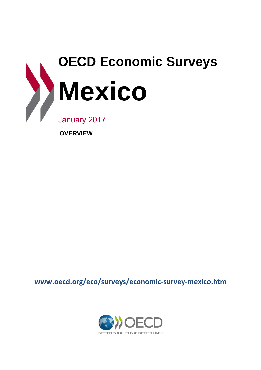

**OVERVIEW**

**www.oecd.org/eco/surveys/economic-survey-mexico.htm**

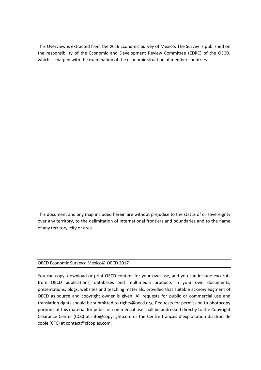This Overview is extracted from the 2016 Economic Survey of Mexico. The Survey is published on the responsibility of the Economic and Development Review Committee (EDRC) of the OECD, which is charged with the examination of the economic situation of member countries.

This document and any map included herein are without prejudice to the status of or sovereignty over any territory, to the delimitation of international frontiers and boundaries and to the name of any territory, city or area

## OECD Economic Surveys: Mexico© OECD 2017

You can copy, download or print OECD content for your own use, and you can include excerpts from OECD publications, databases and multimedia products in your own documents, presentations, blogs, websites and teaching materials, provided that suitable acknowledgment of OECD as source and copyright owner is given. All requests for public or commercial use and translation rights should be submitted to rights@oecd.org. Requests for permission to photocopy portions of this material for public or commercial use shall be addressed directly to the Copyright Clearance Center (CCC) at info@copyright.com or the Centre français d'exploitation du droit de copie (CFC) at contact@cfcopies.com.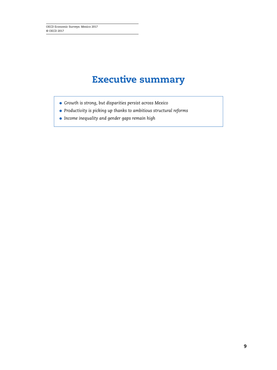# **Executive summary**

- *Growth is strong, but disparities persist across Mexico*
- *Productivity is picking up thanks to ambitious structural reforms*
- *Income inequality and gender gaps remain high*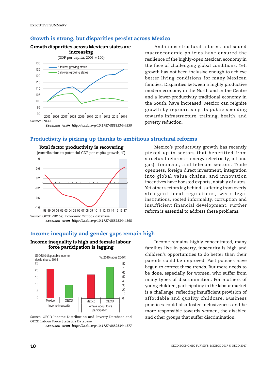## **Growth is strong, but disparities persist across Mexico**





Ambitious structural reforms and sound macroeconomic policies have ensured the resilience of the highly-open Mexican economy in the face of challenging global conditions. Yet, growth has not been inclusive enough to achieve better living conditions for many Mexican families. Disparities between a highly productive modern economy in the North and in the Centre and a lower-productivity traditional economy in the South, have increased. Mexico can reignite growth by reprioritising its public spending towards infrastructure, training, health, and poverty reduction.

## **Productivity is picking up thanks to ambitious structural reforms**



Mexico's productivity growth has recently picked up in sectors that benefitted from structural reforms – energy (electricity, oil and gas), financial, and telecom sectors. Trade openness, foreign direct investment, integration into global value chains, and innovation incentives have boosted exports, notably of autos. Yet other sectors lag behind, suffering from overly stringent local regulations, weak legal institutions, rooted informality, corruption and insufficient financial development. Further reform is essential to address these problems.

## **Income inequality and gender gaps remain high**

#### **Income inequality is high and female labour force participation is lagging**



*Source:* OECD Income Distribution and Poverty Database and OECD Labour Force Statistics Database. 1 2 *<http://dx.doi.org/10.1787/888933444377>*

Income remains highly concentrated, many families live in poverty, insecurity is high and children's opportunities to do better than their parents could be improved. Past policies have begun to correct these trends. But more needs to be done, especially for women, who suffer from many types of discrimination. For mothers of young children, participating in the labour market is a challenge, reflecting insufficient provision of affordable and quality childcare. Business practices could also foster inclusiveness and be more responsible towards women, the disabled and other groups that suffer discrimination.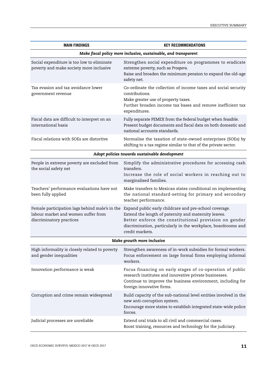| <b>MAIN FINDINGS</b>                                                                  | <b>KEY RECOMMENDATIONS</b>                                                                                                                                                                                                                                                                                 |
|---------------------------------------------------------------------------------------|------------------------------------------------------------------------------------------------------------------------------------------------------------------------------------------------------------------------------------------------------------------------------------------------------------|
|                                                                                       | Make fiscal policy more inclusive, sustainable, and transparent                                                                                                                                                                                                                                            |
| Social expenditure is too low to eliminate<br>poverty and make society more inclusive | Strengthen social expenditure on programmes to eradicate<br>extreme poverty, such as Prospera.<br>Raise and broaden the minimum pension to expand the old-age<br>safety net.                                                                                                                               |
| Tax evasion and tax avoidance lower<br>government revenue                             | Co-ordinate the collection of income taxes and social security<br>contributions.<br>Make greater use of property taxes.<br>Further broaden income tax bases and remove inefficient tax<br>expenditures.                                                                                                    |
| Fiscal data are difficult to interpret on an<br>international basis                   | Fully separate PEMEX from the federal budget when feasible.<br>Present budget documents and fiscal data on both domestic and<br>national accounts standards.                                                                                                                                               |
| Fiscal relations with SOEs are distortive                                             | Normalise the taxation of state-owned enterprises (SOEs) by<br>shifting to a tax regime similar to that of the private sector.                                                                                                                                                                             |
|                                                                                       | Adopt policies towards sustainable development                                                                                                                                                                                                                                                             |
| People in extreme poverty are excluded from<br>the social safety net                  | Simplify the administrative procedures for accessing cash<br>transfers.<br>Increase the role of social workers in reaching out to<br>marginalised families.                                                                                                                                                |
| Teachers' performance evaluations have not<br>been fully applied                      | Make transfers to Mexican states conditional on implementing<br>the national standard-setting for primary and secondary<br>teacher performance.                                                                                                                                                            |
| labour market and women suffer from<br>discriminatory practices                       | Female participation lags behind male's in the Expand public early childcare and pre-school coverage.<br>Extend the length of paternity and maternity leaves.<br>Better enforce the constitutional provision on gender<br>discrimination, particularly in the workplace, boardrooms and<br>credit markets. |
|                                                                                       | Make growth more inclusive                                                                                                                                                                                                                                                                                 |
| and gender inequalities                                                               | High informality is closely related to poverty Strengthen awareness of in-work subsidies for formal workers.<br>Focus enforcement on large formal firms employing informal<br>workers.                                                                                                                     |
| Innovation performance is weak                                                        | Focus financing on early stages of co-operation of public<br>research institutes and innovative private businesses.<br>Continue to improve the business environment, including for<br>foreign innovative firms.                                                                                            |
| Corruption and crime remain widespread                                                | Build capacity of the sub-national level entities involved in the<br>new anti-corruption system.<br>Encourage more states to establish integrated state-wide police<br>forces.                                                                                                                             |
| Judicial processes are unreliable                                                     | Extend oral trials to all civil and commercial cases.<br>Boost training, resources and technology for the judiciary.                                                                                                                                                                                       |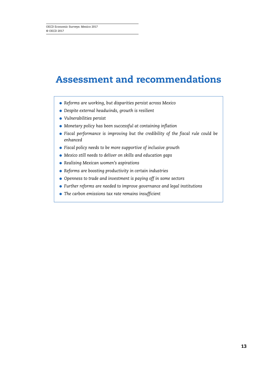## **Assessment and recommendations**

- *Reforms are working, but disparities persist across Mexico*
- *Despite external headwinds, growth is resilient*
- *Vulnerabilities persist*
- *Monetary policy has been successful at containing inflation*
- *Fiscal performance is improving but the credibility of the fiscal rule could be enhanced*
- *Fiscal policy needs to be more supportive of inclusive growth*
- *Mexico still needs to deliver on skills and education gaps*
- *Realising Mexican women's aspirations*
- *Reforms are boosting productivity in certain industries*
- *Openness to trade and investment is paying off in some sectors*
- *Further reforms are needed to improve governance and legal institutions*
- *The carbon emissions tax rate remains insufficient*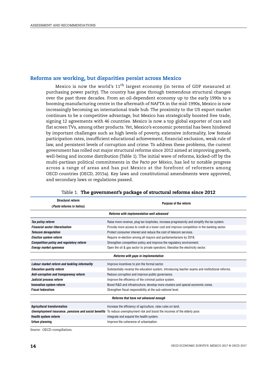## **Reforms are working, but disparities persist across Mexico**

Mexico is now the world's 11<sup>th</sup> largest economy (in terms of GDP measured at purchasing power parity). The country has gone through tremendous structural changes over the past three decades. From an oil-dependent economy up to the early 1990s to a booming manufacturing centre in the aftermath of NAFTA in the mid-1990s, Mexico is now increasingly becoming an international trade hub. The proximity to the US export market continues to be a competitive advantage, but Mexico has strategically boosted free trade, signing 12 agreements with 46 countries. Mexico is now a top global exporter of cars and flat screen TVs, among other products. Yet, Mexico's economic potential has been hindered by important challenges such as high levels of poverty, extensive informality, low female participation rates, insufficient educational achievement, financial exclusion, weak rule of law, and persistent levels of corruption and crime. To address these problems, the current government has rolled out major structural reforms since 2012 aimed at improving growth, well-being and income distribution (Table 1). The initial wave of reforms, kicked-off by the multi-partisan political commitments in the *Pacto por México*, has led to notable progress across a range of areas and has put Mexico at the forefront of reformers among OECD countries (OECD, 2015a). Key laws and constitutional amendments were approved, and secondary laws or regulations passed.

| <b>Structural reform</b>                             |                                                                                                 |  |  |  |
|------------------------------------------------------|-------------------------------------------------------------------------------------------------|--|--|--|
| (Pacto reforms in italics)                           | Purpose of the reform                                                                           |  |  |  |
|                                                      | Reforms with implementation well advanced                                                       |  |  |  |
| <b>Tax policy reform</b>                             | Raise more revenue, plug tax loopholes, increase progressivity and simplify the tax system.     |  |  |  |
| <b>Financial sector liberalisation</b>               | Provide more access to credit at a lower cost and improve competition in the banking sector.    |  |  |  |
| <b>Telecom deregulation</b>                          | Protect consumer interest and reduce the cost of telecom services.                              |  |  |  |
| <b>Election system reform</b>                        | Require re-election among all mayors and parliamentarians by 2018.                              |  |  |  |
| <b>Competition policy and regulatory reform</b>      | Strengthen competition policy and improve the regulatory environment.                           |  |  |  |
| <b>Energy market openness</b>                        | Open the oil & gas sector to private operators; liberalise the electricity sector.              |  |  |  |
|                                                      | Reforms with gaps in implementation                                                             |  |  |  |
| Labour market reform and tackling informality        | Improve incentives to join the formal sector.                                                   |  |  |  |
| <b>Education quality reform</b>                      | Substantially revamp the education system, introducing teacher exams and institutional reforms. |  |  |  |
| Anti-corruption and transparency reform              | Reduce corruption and improve public governance.                                                |  |  |  |
| Judicial process reform                              | Improve the efficiency of the criminal justice system.                                          |  |  |  |
| Innovation system reform                             | Boost R&D and infrastructure; develop more clusters and special economic zones.                 |  |  |  |
| <b>Fiscal federalism</b>                             | Strengthen fiscal responsibility at the sub-national level.                                     |  |  |  |
|                                                      | Reforms that have not advanced enough                                                           |  |  |  |
| <b>Agricultural transformation</b>                   | Increase the efficiency of agriculture, relax rules on land.                                    |  |  |  |
| Unemployment insurance, pensions and social benefits | To reduce unemployment risk and boost the incomes of the elderly poor.                          |  |  |  |
| <b>Health system reform</b>                          | Integrate and expand the health system.                                                         |  |  |  |
| Urban planning                                       | Improve the coherence of urbanisation.                                                          |  |  |  |

#### Table 1. **The government's package of structural reforms since 2012**

*Source:* OECD compilation.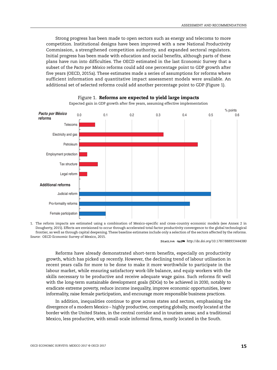Strong progress has been made to open sectors such as energy and telecoms to more competition. Institutional designs have been improved with a new National Productivity Commission, a strengthened competition authority, and expanded sectoral regulators. Initial progress has been made with education and social benefits, although parts of these plans have run into difficulties. The OECD estimated in the last Economic Survey that a subset of the *Pacto por México* reforms could add one percentage point to GDP growth after five years (OECD, 2015a). These estimates made a series of assumptions for reforms where sufficient information and quantitative impact assessment models were available. An additional set of selected reforms could add another percentage point to GDP (Figure 1).





Expected gain in GDP growth after five years, assuming effective implementation

1. The reform impacts are estimated using a combination of Mexico-specific and cross-country economic models (see Annex 2 in Dougherty, 2015). Effects are envisioned to occur through accelerated total factor productivity convergence to the global technological frontier, as well as through capital deepening. These baseline estimates include only a selection of the sectors affected by the reforms. *Source:* OECD Economic Survey of Mexico, 2015.

Reforms have already demonstrated short-term benefits, especially on productivity growth, which has picked up recently. However, the declining trend of labour utilisation in recent years calls for more to be done to make it more worthwhile to participate in the labour market, while ensuring satisfactory work-life balance, and equip workers with the skills necessary to be productive and receive adequate wage gains. Such reforms fit well with the long-term sustainable development goals (SDGs) to be achieved in 2030, notably to eradicate extreme poverty, reduce income inequality, improve economic opportunities, lower informality, raise female participation, and encourage more responsible business practices.

In addition, inequalities continue to grow across states and sectors, emphasising the divergence of a modern Mexico – highly productive, competing globally, mostly located at the border with the United States, in the central corridor and in tourism areas; and a traditional Mexico, less productive, with small-scale informal firms, mostly located in the South.

<sup>1 2</sup> *<http://dx.doi.org/10.1787/888933444380>*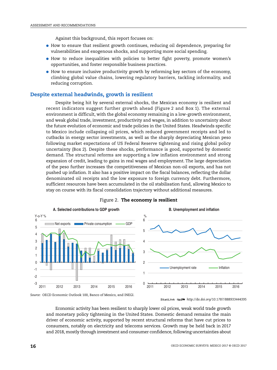Against this background, this report focuses on:

- How to ensure that resilient growth continues, reducing oil dependence, preparing for vulnerabilities and exogenous shocks, and supporting more social spending.
- How to reduce inequalities with policies to better fight poverty, promote women's opportunities, and foster responsible business practices.
- How to ensure inclusive productivity growth by reforming key sectors of the economy, climbing global value chains, lowering regulatory barriers, tackling informality, and reducing corruption.

## **Despite external headwinds, growth is resilient**

Despite being hit by several external shocks, the Mexican economy is resilient and recent indicators suggest further growth ahead (Figure 2 and Box 1). The external environment is difficult, with the global economy remaining in a low-growth environment, and weak global trade, investment, productivity and wages, in addition to uncertainty about the future evolution of economic and trade policies in the United States. Headwinds specific to Mexico include collapsing oil prices, which reduced government receipts and led to cutbacks in energy sector investments, as well as the sharply depreciating Mexican peso following market expectations of US Federal Reserve tightening and rising global policy uncertainty (Box 2). Despite these shocks, performance is good, supported by domestic demand. The structural reforms are supporting a low inflation environment and strong expansion of credit, leading to gains in real wages and employment. The large depreciation of the peso further increases the competitiveness of Mexican non-oil exports, and has not pushed up inflation. It also has a positive impact on the fiscal balances, reflecting the dollar denominated oil receipts and the low exposure to foreign currency debt. Furthermore, sufficient resources have been accumulated in the oil stabilisation fund, allowing Mexico to stay on course with its fiscal consolidation trajectory without additional measures.





Economic activity has been resilient to sharply lower oil prices, weak world trade growth and monetary policy tightening in the United States. Domestic demand remains the main driver of economic activity, supported by recent structural reforms that have cut prices to consumers, notably on electricity and telecoms services. Growth may be held back in 2017 and 2018, mostly through investment and consumer confidence, following uncertainties about

*Source:* OECD Economic Outlook 100, Banco of Mexico, and INEGI.

<sup>1 2</sup> *<http://dx.doi.org/10.1787/888933444395>*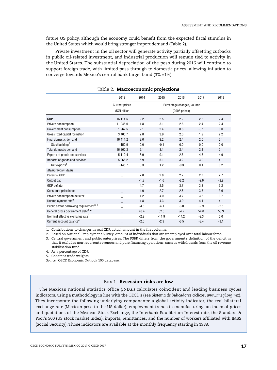future US policy, although the economy could benefit from the expected fiscal stimulus in the United States which would bring stronger import demand (Table 2).

Private investment in the oil sector will generate activity partially offsetting cutbacks in public oil-related investment, and industrial production will remain tied to activity in the United States. The substantial depreciation of the peso during 2016 will continue to support foreign trade, with limited pass-through to domestic prices, allowing inflation to converge towards Mexico's central bank target band  $(3\% \pm 1\%)$ .

|                                                    | 2013                  | 2014   | 2015    | 2016                       | 2017   | 2018   |
|----------------------------------------------------|-----------------------|--------|---------|----------------------------|--------|--------|
|                                                    | <b>Current prices</b> |        |         | Percentage changes, volume |        |        |
|                                                    | <b>MXN</b> billion    |        |         | $(2008)$ prices)           |        |        |
| GDP                                                | 16 114.5              | 2.2    | 2.5     | 2.2                        | 2.3    | 2.4    |
| Private consumption                                | 11 048.0              | 1.8    | 3.1     | 2.8                        | 2.4    | 2.4    |
| Government consumption                             | 1 962.5               | 2.1    | 2.4     | 0.6                        | $-0.1$ | 0.0    |
| Gross fixed capital formation                      | 3 400.7               | 2.8    | 3.9     | 2.0                        | 1.9    | 2.2    |
| Final domestic demand                              | 16 411.2              | 2.0    | 3.2     | 2.4                        | 2.0    | 2.1    |
| Stockbuilding <sup>1</sup>                         | $-150.9$              | 0.0    | $-0.1$  | 0.0                        | 0.0    | 0.0    |
| Total domestic demand                              | 16 260.3              | 2.1    | 3.1     | 2.4                        | 2.1    | 2.1    |
| Exports of goods and services                      | 5 1 1 9 . 4           | 6.9    | 9.1     | 2.6                        | 4.3    | 4.9    |
| Imports of goods and services                      | 5 2 6 5 .2            | 5.9    | 5.1     | 3.2                        | 3.9    | 4.1    |
| Net exports <sup>1</sup>                           | $-145.7$              | 0.3    | 1.2     | $-0.3$                     | 0.1    | 0.2    |
| Memorandum items                                   |                       |        |         |                            |        |        |
| <b>Potential GDP</b>                               |                       | 2.8    | 2.8     | 2.7                        | 2.7    | 2.7    |
| Output gap                                         |                       | $-1.3$ | $-1.6$  | $-2.2$                     | $-2.6$ | $-2.9$ |
| GDP deflator                                       |                       | 4.7    | 2.5     | 3.7                        | 3.3    | 3.2    |
| Consumer price index                               |                       | 4.0    | 2.7     | 2.8                        | 3.5    | 3.6    |
| Private consumption deflator                       |                       | 4.2    | 4.0     | 3.7                        | 3.6    | 3.7    |
| Unemployment rate <sup>2</sup>                     |                       | 4.8    | 4.3     | 3.9                        | 4.1    | 4.1    |
| Public sector borrowing requirement <sup>3.4</sup> |                       | $-4.6$ | $-4.1$  | $-3.0$                     | $-2.9$ | $-2.5$ |
| General gross government debt <sup>3.4</sup>       |                       | 48.4   | 52.5    | 54.2                       | 54.0   | 53.3   |
| Nominal effective exchange rate <sup>5</sup>       |                       | $-2.9$ | $-11.9$ | $-14.2$                    | $-9.3$ | 0.0    |
| Current account balance <sup>4</sup>               |                       | $-2.0$ | $-2.9$  | $-3.5$                     | $-3.4$ | $-3.1$ |

Table 2. **Macroeconomic projections**

1. Contributions to changes in real GDP, actual amount in the first column.

2. Based on National Employment Survey. Amount of individuals that are unemployed over total labour force.

3. Central government and public enterprises. The PSBR differs from the government's definition of the deficit in that it excludes non-recurrent revenues and pure financing operations, such as withdrawals from the oil revenue stabilisation fund.

4. As a percentage of GDP.

5. Constant trade weights.

*Source:* OECD Economic Outlook 100 database.

## Box 1. **Recession risks are low**

The Mexican national statistics office (INEGI) calculates coincident and leading business cycles indicators, using a methodology in line with the OECD's (see *Sistema de indicadores cíclicos*, *[www.inegi.org.mx](http://www.inegi.org.mx/)*). They incorporate the following underlying components: a global activity indicator, the real bilateral exchange rate (Mexican peso to the US dollar), employment trends in manufacturing, an index of prices and quotations of the Mexican Stock Exchange, the Interbank Equilibrium Interest rate, the Standard & Poor's 500 (US stock market index), imports, remittances, and the number of workers affiliated with IMSS (Social Security). Those indicators are available at the monthly frequency starting in 1988.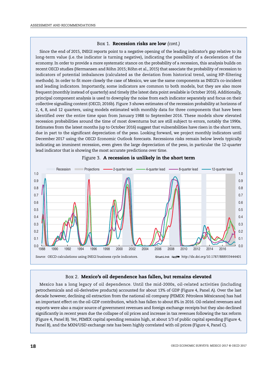#### Box 1. **Recession risks are low** *(cont.)*

Since the end of 2015, INEGI reports point to a negative opening of the leading indicator's gap relative to its long-term value (i.e. the indicator is turning negative), indicating the possibility of a deceleration of the economy. In order to provide a more systematic stance on the probability of a recession, this analysis builds on recent OECD studies (Hermansen and Röhn 2015; Röhn et al., 2015) that associate the probability of recession to indicators of potential imbalances (calculated as the deviation from historical trend, using HP-filtering methods). In order to fit more closely the case of Mexico, we use the same components as INEGI's co-incident and leading indicators. Importantly, some indicators are common to both models, but they are also more frequent (monthly instead of quarterly) and timely (the latest data point available is October 2016). Additionally, principal component analysis is used to downplay the noise from each indicator separately and focus on their collective signalling content (OECD, 2016b). Figure 3 shows estimates of the recession probability at horizons of 2, 4, 8, and 12 quarters, using models estimated with monthly data for three components that have been identified over the entire time span from January 1988 to September 2016. These models show elevated recession probabilities around the time of most downturns but are still subject to errors, notably the 1990s. Estimates from the latest months (up to October 2016) suggest that vulnerabilities have risen in the short term, due in part to the significant depreciation of the peso. Looking forward, we project monthly indicators until December 2017 using the OECD Economic Outlook forecasts. Recessions risks remain below levels typically indicating an imminent recession, even given the large depreciation of the peso, in particular the 12-quarter lead indicator that is showing the most accurate predictions over time.



## Figure 3. **A recession is unlikely in the short term**

## Box 2. **Mexico's oil dependence has fallen, but remains elevated**

Mexico has a long legacy of oil dependence. Until the mid-2000s, oil-related activities (including petrochemicals and oil-derivative products) accounted for about 13% of GDP (Figure 4, Panel A). Over the last decade however, declining oil extraction from the national oil company (PEMEX: Pétroleos Méxicanos) has had an important effect on the oil-GDP contribution, which has fallen to about 8% in 2016. Oil-related revenues and exports were also a major source of government revenues and foreign exchange receipts but they also declined significantly in recent years due the collapse of oil prices and increase in tax revenues following the tax reform (Figure 4, Panel B). Yet, PEMEX capital spending remains high, at about 1/3 of public capital spending (Figure 4, Panel B), and the MXN/USD exchange rate has been highly correlated with oil prices (Figure 4, Panel C).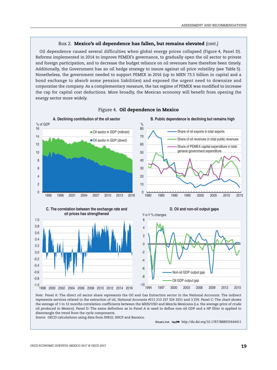#### Box 2. **Mexico's oil dependence has fallen, but remains elevated** *(cont.)*

Oil dependence caused several difficulties when global energy prices collapsed (Figure 4, Panel D). Reforms implemented in 2014 to improve PEMEX's governance, to gradually open the oil sector to private and foreign participation, and to decrease the budget reliance on oil revenues have therefore been timely. Additionally, the Government has an oil hedge strategy to insure against oil price volatility (see Table 5). Nonetheless, the government needed to support PEMEX in 2016 (up to MXN 73.5 billion in capital and a bond exchange to absorb some pension liabilities) and exposed the urgent need to downsize and corporatise the company. As a complementary measure, the tax regime of PEMEX was modified to increase the cap for capital cost deductions. More broadly, the Mexican economy will benefit from opening the energy sector more widely.





*Note:* Panel A: The direct oil sector share represents the Oil and Gas Extraction sector in the National Accounts. The indirect represents services related to the extraction of oil, National Accounts #211 213 237 324 3251 and 3 259. Panel C: The chart shows the average of 1 to 12 months correlation coefficients between the MXN/USD and Mezcla Mexicana (i.e. the average price of crude oil produced in Mexico). Panel D: The same definition as in Panel A is used to define non-oil GDP and a HP filter is applied to disentangle the trend from the cycle components.

*Source:* OECD calculations using data from INEGI, SHCP and Banxico.

1 2 *<http://dx.doi.org/10.1787/888933444411>*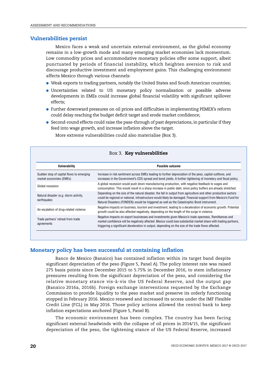## **Vulnerabilities persist**

Mexico faces a weak and uncertain external environment, as the global economy remains in a low-growth mode and many emerging market economies lack momentum. Low commodity prices and accommodative monetary policies offer some support, albeit punctuated by periods of financial instability, which heighten aversion to risk and discourage productive investment and employment gains. This challenging environment affects Mexico through various channels:

- Weak exports to trading partners, notably the United States and South American countries;
- Uncertainties related to US monetary policy normalisation or possible adverse developments in EMEs could increase global financial volatility with significant spillover effects;
- Further downward pressures on oil prices and difficulties in implementing PEMEX's reform could delay reaching the budget deficit target and erode market confidence;
- Second-round effects could raise the pass-through of past depreciations, in particular if they feed into wage growth, and increase inflation above the target.

More extreme vulnerabilities could also materialise (Box 3).

## Box 3. **Key vulnerabilities**

| Vulnerability                                                       | Possible outcome                                                                                                                                                                                                                                                                                                                 |
|---------------------------------------------------------------------|----------------------------------------------------------------------------------------------------------------------------------------------------------------------------------------------------------------------------------------------------------------------------------------------------------------------------------|
| Sudden stop of capital flows to emerging<br>market economies (EMEs) | Increase in risk sentiment across EMEs leading to further depreciation of the peso, capital outflows, and<br>increases in the Government's CDS spread and bond yields. A further tightening of monetary and fiscal policy.                                                                                                       |
| Global recession                                                    | A global recession would push down manufacturing production, with negative feedback to wages and<br>consumption. This would result in a sharp increase in public debt, since policy buffers are already stretched.                                                                                                               |
| Natural disaster (e.g. storm activity,<br>earthquake)               | Depending on the size of the natural disaster, the fall in output from agriculture and other productive sectors<br>could be regional or national. Infrastructure would likely be damaged. Financial support from Mexico's Fund for<br>Natural Disasters (FONDEN) would be triggered as well as the Catastrophic Bond instrument. |
| An escalation of drug-related violence                              | Negative impacts on business, tourism and investment, leading to a deceleration of economic growth. Potential<br>growth could be also affected negatively, depending on the length of the surge in violence.                                                                                                                     |
| Trade partners' retreat from trade<br>agreements                    | Negative impacts on export businesses and investments given Mexico's trade openness. Remittances and<br>market confidence will be negatively affected. Mexico could lose substantial market share with trading partners,<br>triggering a significant deceleration in output, depending on the size of the trade flows affected.  |

## **Monetary policy has been successful at containing inflation**

Banco de Mexico (Banxico) has contained inflation within its target band despite significant depreciation of the peso (Figure 5, Panel A). The policy interest rate was raised 275 basis points since December 2015 to 5.75% in December 2016, to stem inflationary pressures resulting from the significant depreciation of the peso, and considering the relative monetary stance vis-à-vis the US Federal Reserve, and the output gap (Banxico 2016a, 2016b). Foreign exchange interventions requested by the Exchange Commission to provide liquidity to the peso market and preserve its orderly functioning stopped in February 2016. Mexico renewed and increased its access under the IMF Flexible Credit Line (FCL) in May 2016. Those policy actions allowed the central bank to keep inflation expectations anchored (Figure 5, Panel B).

The economic environment has been complex. The country has been facing significant external headwinds with the collapse of oil prices in 2014/15, the significant depreciation of the peso, the tightening stance of the US Federal Reserve, increased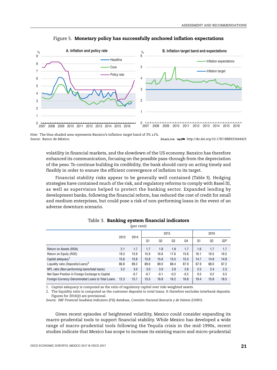

Figure 5. **Monetary policy has successfully anchored inflation expectations**

*Note:* The blue shaded area represents Banxico's inflation target band of 3% ±1%. *Source:* Banco de México. 1 2 *<http://dx.doi.org/10.1787/888933444425>*

volatility in financial markets, and the slowdown of the US economy. Banxico has therefore enhanced its communication, focusing on the possible pass-through from the depreciation of the peso. To continue building its credibility, the bank should carry on acting timely and flexibly in order to ensure the efficient convergence of inflation to its target.

Financial stability risks appear to be generally well contained (Table 3). Hedging strategies have contained much of the risk, and regulatory reforms to comply with Basel III, as well as supervision helped to protect the banking sector. Expanded lending by development banks, following the financial reform, has reduced the cost of credit for small and medium enterprises, but could pose a risk of non-performing loans in the event of an adverse downturn scenario.

| (per cent)                                        |              |                |        |        |        |                |      |                 |      |
|---------------------------------------------------|--------------|----------------|--------|--------|--------|----------------|------|-----------------|------|
|                                                   |              |                | 2015   |        |        | 2016           |      |                 |      |
|                                                   | 2013<br>2014 | Q <sub>1</sub> | Q2     | Q3     | 04     | Q <sub>1</sub> | Q2   | Q3 <sup>p</sup> |      |
| Return on Assets (ROA)                            | 2.1          | 1.7            | 1.7    | 1.8    | 1.9    | 1.7            | 1.6  | 1.7             | 1.7  |
| Return on Equity (ROE)                            | 19.3         | 15.9           | 15.9   | 16.6   | 17.6   | 15.8           | 16.1 | 16.5            | 16.5 |
| Capital adequacy <sup>1</sup>                     | 15.6         | 15.8           | 15.8   | 15.6   | 15.5   | 15.3           | 14.7 | 14.9            | 14.8 |
| Liquidity ratio (Deposits/Loans) <sup>2</sup>     | 86.8         | 89.3           | 89.6   | 89.0   | 88.4   | 87.9           | 87.9 | 88.0            | 87.2 |
| NPL ratio (Non-performing loans/total loans)      | 3.2          | 3.0            | 3.0    | 3.0    | 2.9    | 2.8            | 2.5  | 2.4             | 2.3  |
| Net Open Position in Foreign Exchange to Capital  |              | $-0.7$         | $-0.7$ | $-0.1$ | $-0.2$ | $-0.2$         | 0.5  | 0.2             | 0.3  |
| Foreign-Currency-Denominated Loans to Total Loans | 12.3         | 15.7           | 15.5   | 16.8   | 16.2   | 16.8           | 19.4 | 15.8            | 18.5 |

#### Table 3. **Banking system financial indicators**

1. Capital adequacy is computed as the ratio of regulatory capital over risk-weighted assets.

2. The liquidity ratio is computed as the customer deposits to total loans. It therefore excludes interbank deposits. Figures for 2016Q3 are provisional.

*Source: IMF Financial Soudness Indicators (FSI) database, Comisión Nacional Bancaría y de Valores (CNBV).*

Given recent episodes of heightened volatility, Mexico could consider expanding its macro-prudential tools to support financial stability. While Mexico has developed a wide range of macro-prudential tools following the Tequila crisis in the mid-1990s, recent studies indicate that Mexico has scope to increase its existing macro and micro-prudential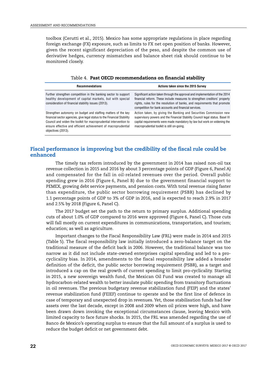toolbox (Cerutti et al., 2015). Mexico has some appropriate regulations in place regarding foreign exchange (FX) exposure, such as limits to FX net open position of banks. However, given the recent significant depreciation of the peso, and despite the common use of derivative hedges, currency mismatches and balance sheet risk should continue to be monitored closely.

| <b>Recommendations</b>                                                                                                                                                                                                                                                                               | <b>Actions taken since the 2015 Survey</b>                                                                                                                                                                                                                                                      |
|------------------------------------------------------------------------------------------------------------------------------------------------------------------------------------------------------------------------------------------------------------------------------------------------------|-------------------------------------------------------------------------------------------------------------------------------------------------------------------------------------------------------------------------------------------------------------------------------------------------|
| Further strengthen competition in the banking sector to support<br>healthy development of capital markets, but with special<br>consideration of financial stability issues (2013).                                                                                                                   | Significant action taken through the approval and implementation of the 2014<br>financial reform. These include measures to strengthen creditors' property<br>rights, rules for the resolution of banks, and requirements that promote<br>competition for bank accounts and financial services. |
| Strengthen autonomy on budget and staffing matters of the key<br>financial sector agencies, give legal status to the Financial Stability<br>Council and widen the toolkit for macroprudential intervention to<br>ensure effective and efficient achievement of macroprudential<br>objectives (2013). | Action taken, by giving the Banking and Securities Commission new<br>supervisory powers and the Financial Stability Council legal status. Basel III<br>capital requirements were made mandatory by law but work on widening the<br>macroprudential toolkit is still on-going.                   |

## Table 4. **Past OECD recommendations on financial stability**

## **Fiscal performance is improving but the credibility of the fiscal rule could be enhanced**

The timely tax reform introduced by the government in 2014 has raised non-oil tax revenue collection in 2015 and 2016 by about 3 percentage points of GDP (Figure 6, Panel A) and compensated for the fall in oil-related revenues over the period. Overall public spending grew in 2016 (Figure 6, Panel B) due to the government financial support to PEMEX, growing debt service payments, and pension costs. With total revenue rising faster than expenditure, the public sector borrowing requirement (PSBR) has declined by 1.1 percentage points of GDP to 3% of GDP in 2016, and is expected to reach 2.9% in 2017 and 2.5% by 2018 (Figure 6, Panel C).

The 2017 budget set the path to the return to primary surplus. Additional spending cuts of about 1.0% of GDP compared to 2016 were approved (Figure 6, Panel C). Those cuts will fall mostly on current expenditures in communications, transportation, and tourism; education; as well as agriculture.

Important changes to the Fiscal Responsibility Law (FRL) were made in 2014 and 2015 (Table 5). The fiscal responsibility law initially introduced a zero-balance target on the traditional measure of the deficit back in 2006. However, the traditional balance was too narrow as it did not include state-owned enterprises capital spending and led to a procyclicality bias. In 2014, amendments to the fiscal responsibility law added a broader definition of the deficit, the public sector borrowing requirement (PSBR), as a target and introduced a cap on the real growth of current spending to limit pro-cyclicality. Starting in 2015, a new sovereign wealth fund, the Mexican Oil Fund was created to manage all hydrocarbon-related wealth to better insulate public spending from transitory fluctuations in oil revenues. The previous budgetary revenue stabilization fund (FEIP) and the states' revenue stabilization fund (FEIEF) continue to operate and be the first line of defence in case of temporary and unexpected drop in revenues. Yet, those stabilisation funds had few assets over the last decade, except in 2008 and 2009 when oil prices were high, and have been drawn down invoking the exceptional circumstances clause, leaving Mexico with limited capacity to face future shocks. In 2015, the FRL was amended regarding the use of Banco de Mexico's operating surplus to ensure that the full amount of a surplus is used to reduce the budget deficit or net government debt.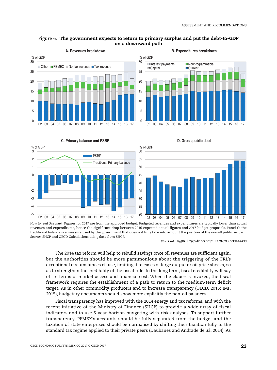

### Figure 6. **The government expects to return to primary surplus and put the debt-to-GDP on a downward path**

*How to read this chart:* Figures for 2017 are from the approved budget. Budgeted revenues and expenditures are typically lower than actual revenues and expenditures, hence the significant drop between 2016 expected actual figures and 2017 budget proposals. Panel C: the traditional balance is a measure used by the government that does not fully take into account the position of the overall public sector. *Source:* SHCP and OECD Calculations using data from SHCP.

20

1 2 *<http://dx.doi.org/10.1787/888933444438>*

02 03 04 05 06 07 08 09 10 11 12 13 14 15

The 2014 tax reform will help to rebuild savings once oil revenues are sufficient again, but the authorities should be more parsimonious about the triggering of the FRL's exceptional circumstances clause, limiting it to cases of large output or oil price shocks, so as to strengthen the credibility of the fiscal rule. In the long term, fiscal credibility will pay off in terms of market access and financial cost. When the clause is invoked, the fiscal framework requires the establishment of a path to return to the medium-term deficit target. As in other commodity producers and to increase transparency (OECD, 2015; IMF, 2015), budgetary documents should show more explicitly the non-oil balances.

Fiscal transparency has improved with the 2014 energy and tax reforms, and with the recent initiative of the Ministry of Finance (SHCP) to provide a wide array of fiscal indicators and to use 5-year horizon budgeting with risk analyses. To support further transparency, PEMEX's accounts should be fully separated from the budget and the taxation of state enterprises should be normalised by shifting their taxation fully to the standard tax regime applied to their private peers (Daubanes and Andrade de Sá, 2014). As

02 03 04 05 06 07 08 09 10 11 12 13 14 15 16 17

-5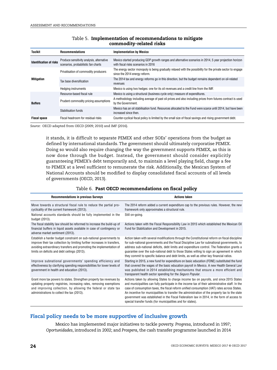| Toolkit                        | <b>Recommendations</b>                                                           | <b>Implementation by Mexico</b>                                                                                                                |
|--------------------------------|----------------------------------------------------------------------------------|------------------------------------------------------------------------------------------------------------------------------------------------|
| <b>Identification of risks</b> | Produce sensitivity analysis, alternative<br>scenarios, probabilistic fan charts | Mexico started producing GDP growth ranges and alternative scenarios in 2014, 5 year projection horizon<br>with fiscal risks scenarios in 2016 |
|                                | Privatisation of commodity producers                                             | The energy sector monopoly is being gradually relaxed with the possibility for the private sector to engage<br>since the 2014 energy reform.   |
| <b>Mitigation</b>              | Tax base diversification                                                         | The 2014 tax and energy reforms go in this direction, but the budget remains dependent on oil-related<br>revenues                              |
|                                | <b>Hedging instruments</b>                                                       | Mexico is using two hedges: one for its oil revenues and a credit line from the IMF.                                                           |
|                                | Resource-based fiscal rule                                                       | Mexico is using a structural (business cycle only) measure of expenditures.                                                                    |
| <b>Buffers</b>                 | Prudent commodity pricing assumptions                                            | A methodology including average of past oil prices and also including prices from futures contract is used<br>by the Government.               |
|                                | Stabilisation funds                                                              | Mexico has an oil stabilisation fund. Resources allocated to the Fund were scarce until 2014, but have been<br>increased since then.           |
| <b>Fiscal space</b>            | Fiscal headroom for residual risks                                               | Counter-cyclical fiscal policy is limited by the small size of fiscal savings and rising government debt.                                      |

### Table 5. **Implementation of recommendations to mitigate commodity-related risks**

*Source:* OECD adapted from OECD (2009; 2010) and IMF (2016).

it stands, it is difficult to separate PEMEX and other SOEs' operations from the budget as defined by international standards. The government should ultimately corporatise PEMEX. Doing so would also require changing the way the government supports PEMEX, as this is now done through the budget. Instead, the government should consider explicitly guaranteeing PEMEX's debt temporarily and, to maintain a level playing field, charge a fee to PEMEX at a level sufficient to remunerate the risk. Additionally, the Mexican System of National Accounts should be modified to display consolidated fiscal accounts of all levels of governments (OECD, 2013).

## Table 6. **Past OECD recommendations on fiscal policy**

| <b>Recommendations in previous Surveys</b>                                                                                                                                                                                                                              | <b>Actions taken</b>                                                                                                                                                                                                                                                                                                                                                                                                                                                                                                                                       |
|-------------------------------------------------------------------------------------------------------------------------------------------------------------------------------------------------------------------------------------------------------------------------|------------------------------------------------------------------------------------------------------------------------------------------------------------------------------------------------------------------------------------------------------------------------------------------------------------------------------------------------------------------------------------------------------------------------------------------------------------------------------------------------------------------------------------------------------------|
| Move towards a structural fiscal rule to reduce the partial pro-<br>cyclicality of the current framework (2013).                                                                                                                                                        | The 2014 reform added a current expenditure cap to the previous rules. However, the new<br>framework only approximates a structural rule.                                                                                                                                                                                                                                                                                                                                                                                                                  |
| National accounts standards should be fully implemented in the<br>budget (2013).                                                                                                                                                                                        | Still on-going.                                                                                                                                                                                                                                                                                                                                                                                                                                                                                                                                            |
| The fiscal stability law should be reformed to increase the build-up of<br>financial buffers in liquid assets available in case of contingency or<br>adverse market sentiment (2013).                                                                                   | Actions taken with the Fiscal Responsibility Law in 2015 which established the Mexican Oil<br>Fund for Stabilization and Development in 2015.                                                                                                                                                                                                                                                                                                                                                                                                              |
| Establish a harder budget constraint on sub-national governments to<br>improve their tax collection by limiting further increases in transfers,<br>avoiding extraordinary transfers and promoting the implementation of<br>limits on deficits and debt ceilings (2013). | Action taken with several modifications through the Constitutional reform on fiscal discipline<br>for sub-national governments and the Fiscal Discipline Law for subnational governments, to<br>address sub-national deficits, debt limits and expenditure control. The Federation grants a<br>guarantee over the sub-national debt to those States willing to sign an agreement in which<br>they commit to specific balance and debt limits, as well as other key financial ratios.                                                                       |
| Improve subnational governments' spending efficiency and<br>effectiveness by clarifying spending responsibilities for lower levels of<br>government in health and education (2013).                                                                                     | Starting in 2015, a new fund for expenditure on basic education (FONE) substituted the fund<br>that covered the wages of the basic education payroll in Mexico. A new Health General Law<br>was published in 2014 establishing mechanisms that ensure a more efficient and<br>transparent health sector spending for the <i>Seguro Popular</i> .                                                                                                                                                                                                           |
| Grant more tax powers to states. Strengthen property tax revenues by<br>updating property registries, increasing rates, removing exemptions<br>and improving collection, by allowing the federal or state tax<br>administrations to collect the tax (2013).             | Actions taken by allowing States to charge income tax on payrolls, and since 2015 States<br>and municipalities can fully participate in the income tax of their administrative staff. In the<br>case of consumption taxes, the fiscal reform unified consumption (VAT) rates across States.<br>An incentive for municipalities to transfer the administration of the property tax to the state<br>government was established in the Fiscal Federalism law in 2014, in the form of access to<br>special transfer funds (for municipalities and for states). |

## **Fiscal policy needs to be more supportive of inclusive growth**

Mexico has implemented major initiatives to tackle poverty. *Progresa*, introduced in 1997; *Oportunidades*, introduced in 2002; and *Prospera,* the cash transfer programme launched in 2014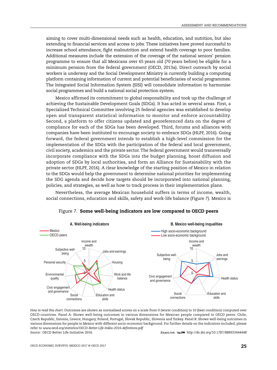aiming to cover multi-dimensional needs such as health, education, and nutrition, but also extending to financial services and access to jobs. These initiatives have proved successful to increase school attendance, fight malnutrition and extend health coverage to poor families. Additional measures include the extension of the coverage of the national seniors' pension programme to ensure that all Mexicans over 65 years old (70 years before) be eligible for a minimum pension from the federal government (OECD, 2013a). Direct outreach by social workers is underway and the Social Development Ministry is currently building a computing platform containing information of current and potential beneficiaries of social programmes. The Integrated Social Information System (SISI) will consolidate information to harmonise social programmes and build a national social protection system.

Mexico affirmed its commitment to global responsibility and took up the challenge of achieving the Sustainable Development Goals (SDGs). It has acted in several areas. First, a Specialized Technical Committee involving 25 federal agencies was established to develop open and transparent statistical information to monitor and enforce accountability. Second, a platform to offer citizens updated and georeferenced data on the degree of compliance for each of the SDGs has been developed. Third, forums and alliances with companies have been instituted to encourage society to embrace SDGs (HLPF, 2016). Going forward, the federal government intends to establish a high-level commission for the implementation of the SDGs with the participation of the federal and local government, civil society, academics and the private sector. The federal government would transversally incorporate compliance with the SDGs into the budget planning, boost diffusion and adoption of SDGs by local authorities, and form an Alliance for Sustainability with the private sector (HLPF, 2016). A clear knowledge of the starting position of Mexico in relation to the SDGs would help the government to determine national priorities for implementing the SDG agenda and decide how targets should be incorporated into national planning, policies, and strategies, as well as how to track process in their implementation plans.

Nevertheless, the average Mexican household suffers in terms of income, wealth, social connections, education and skills, safety and work-life balance (Figure 7). Mexico is



#### Figure 7. **Some well-being indicators are low compared to OECD peers**

*How to read this chart*: Outcomes are shown as normalised scores on a scale from 0 (worst condition) to 10 (best condition) computed over OECD countries. Panel A: Shows well-being outcomes in various dimensions for Mexican people compared to OECD peers: Chile, Czech Republic, Estonia, Greece, Hungary, Poland, Portugal, Slovak Republic, Slovenia and Turkey. Panel B: Shows well-being outcomes in various dimensions for people in Mexico with different socio-economic background. For further details on the indicators included, please refer to *[www.oecd.org/statistics/OECD-Better-Life-Index-2016-definitions.pdf](http://www.oecd.org/statistics/OECD-Better-Life-Index-2016-definitions.pdf) Source:* OECD Better Life Initiative 2016. 1 2 *<http://dx.doi.org/10.1787/888933444448>*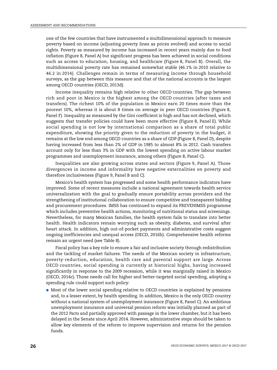one of the few countries that have instrumented a multidimensional approach to measure poverty based on income (adjusting poverty lines as prices evolved) and access to social rights. Poverty as measured by income has increased in recent years mainly due to food inflation (Figure 8, Panel A) but significant progress has been achieved in social conditions such as access to education, housing, and healthcare (Figure 8, Panel B). Overall, the multidimensional poverty rate has remained somewhat stable (46.1% in 2010 relative to 46.2 in 2014). Challenges remain in terms of measuring income through household surveys, as the gap between this measure and that of the national accounts is the largest among OECD countries (OECD, 2013d).

Income inequality remains high relative to other OECD countries. The gap between rich and poor in Mexico is the highest among the OECD countries (after taxes and transfers). The richest 10% of the population in Mexico earn 20 times more than the poorest 10%, whereas it is about 8 times on average in peer OECD countries (Figure 8, Panel F). Inequality as measured by the Gini coefficient is high and has not declined, which suggests that transfer policies could have been more effective (Figure 8, Panel E). While social spending is not low by international comparison as a share of total public expenditure, showing the priority given to the reduction of poverty in the budget, it remains at the low end among OECD countries as a share of GDP (Figure 8, Panel D), despite having increased from less than 2% of GDP in 1985 to almost 8% in 2012. Cash transfers account only for less than 3% in GDP with the lowest spending on active labour market programmes and unemployment insurance, among others (Figure 8, Panel C).

Inequalities are also growing across states and sectors (Figure 9, Panel A). Those divergences in income and informality have negative externalities on poverty and therefore inclusiveness (Figure 9, Panel B and C).

Mexico's health system has progressed and some health performance indicators have improved. Some of recent measures include a national agreement towards health service universalization with the goal to gradually ensure portability across providers and the strengthening of institutional collaboration to ensure competitive and transparent bidding and procurement procedures. IMSS has continued to expand its PREVENIMSS programme which includes preventive health actions, monitoring of nutritional status and screenings. Nevertheless, for many Mexican families, the health system fails to translate into better health. Health indicators remain worrying such as obesity, diabetes, and survival after heart attack. In addition, high out-of-pocket payments and administrative costs suggest ongoing inefficiencies and unequal access (OECD, 2016h). Comprehensive health reforms remain an urgent need (see Table 8).

Fiscal policy has a key role to ensure a fair and inclusive society through redistribution and the tackling of market failures. The needs of the Mexican society in infrastructure, poverty-reduction, education, health care and parental support are large. Across OECD countries, social spending is currently at historical highs, having increased significantly in response to the 2009 recession, while it was marginally raised in Mexico (OECD, 2014c). Those needs call for higher and better-targeted social spending, adopting a spending rule could support such policy:

● Most of the lower social spending relative to OECD countries is explained by pensions and, to a lesser extent, by health spending. In addition, Mexico is the only OECD country without a national system of unemployment insurance (Figure 8, Panel C). An ambitious unemployment insurance and universal pension reform was initially planned as part of the 2012 *Pacto* and partially approved with passage in the lower chamber, but it has been delayed in the Senate since April 2014. However, administrative steps should be taken to allow key elements of the reform to improve supervision and returns for the pension funds.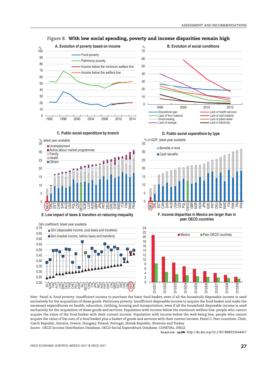



*Note:* Panel A: Food poverty: insufficient income to purchase the basic food basket, even if all the household disposable income is used exclusively for the acquisition of these goods. Patrimony poverty: insufficient disposable income to acquire the food basket and make the necessary expenditures on health, education, clothing, housing and transportation, even if all the household disposable income is used exclusively for the acquisition of these goods and services. Population with income below the minimum welfare line: people who cannot acquire the value of the food basket with their current income. Population with income below the well-being line: people who cannot acquire the value of the sum of a food basket plus a basket of goods and services with their current income. Panel C: Peer countries: Chile, Czech Republic, Estonia, Greece, Hungary, Poland, Portugal, Slovak Republic, Slovenia and Turkey. *Source:* OECD Income Distribution Database, OECD Social Expenditure Database, CONEVAL, INEGI.

1 2 *<http://dx.doi.org/10.1787/888933444457>*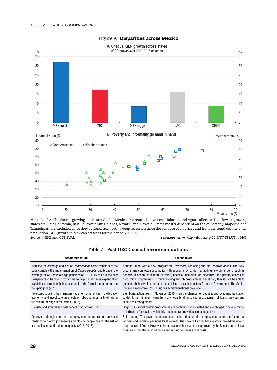

#### Figure 9. **Disparities across Mexico**

*Note:* Panel A: The fastest-growing states are: Ciudad Mexico, Queretaro, Nuevo Leon, Tabasco, and Aguascalientes. The slowest-growing states are: Baja California, Baja California Sur, Chiapas, Nayarit, and Tlaxcala. States mostly dependent on the oil sector (Campeche and Tamaulipas) are excluded since they suffered from both a deep recession since the collapse of oil prices and from the trend decline of oil production. GDP growth in Mexican states is for the period 2007-14. **StatLink and <http://dx.doi.org/10.1787/888933444460>** 

## Table 7. **Past OECD social recommendations**

| Recommendation                                                                                                                                                                                                                                                                                                                                                                                                              | Actions taken                                                                                                                                                                                                                                                                                                                                                                                                                                                                                                                                                                    |
|-----------------------------------------------------------------------------------------------------------------------------------------------------------------------------------------------------------------------------------------------------------------------------------------------------------------------------------------------------------------------------------------------------------------------------|----------------------------------------------------------------------------------------------------------------------------------------------------------------------------------------------------------------------------------------------------------------------------------------------------------------------------------------------------------------------------------------------------------------------------------------------------------------------------------------------------------------------------------------------------------------------------------|
| Increase the coverage and size of <i>Oportunidades</i> cash transfers to the<br>poor, complete the implementation of <i>Seguro Popular</i> , and broaden the<br>coverage of $65 y$ más old-age pensions (2013). Fully roll-out the new<br><i>Prospera</i> cash transfer programme to help beneficiaries expand their<br>capabilities, complete their education, join the formal sector and obtain<br>well-paid jobs (2015). | Actions taken with a new programme, <i>Prospera</i> , replacing the old <i>Oportunidades</i> . The new<br>programme connects social policy with economic dynamism by adding new dimensions, such as<br>benefits in health, education, nutrition, financial inclusion, job placement and priority access to<br>production programmes. Through training and job programmes, beneficiary families will be able to<br>generate their own income and depend less on cash transfers from the Government. The Senior<br>Pension Programme ( $65 y$ más) has achieved national coverage. |
| Take steps to delink the minimum wage from other prices in the broader<br>economy; and investigate the effects on jobs and informality of raising<br>the minimum wage in real terms (2015).                                                                                                                                                                                                                                 | Significant action taken in November 2015 when the Chamber of Deputies approved new legislation<br>to delink the minimum wage from any legal binding to set fees, payment of loans, services and<br>sanctions among others.                                                                                                                                                                                                                                                                                                                                                      |
| Evaluate and streamline social benefit programmes (2013).                                                                                                                                                                                                                                                                                                                                                                   | Ongoing as social benefit programmes are continuously evaluated and are obliged to have a matrix<br>of indicators for results, which links such indicators with sectorial objectives.                                                                                                                                                                                                                                                                                                                                                                                            |
| Approve draft legislation for unemployment insurance and universal<br>pensions to protect job seekers and old-age people against the risk of<br>income losses, and reduce inequality (2015, 2013).                                                                                                                                                                                                                          | Still pending. The government proposed the introduction of unemployment insurance for formal<br>workers and universal pensions for all retirees. The Lower Chamber has already approved the reform<br>proposal (April 2014). However, these measures have yet to be approved by the Senate, due to fiscal<br>pressures from the fall in oil prices and raising concerns about costs.                                                                                                                                                                                             |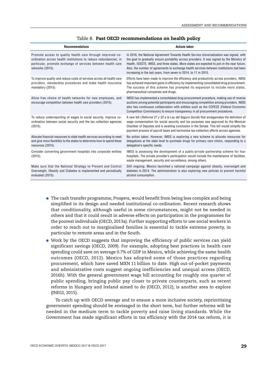| <b>Recommendations</b>                                                                                                                                                                                             | <b>Actions taken</b>                                                                                                                                                                                                                                                                                                                                                                                                                                    |
|--------------------------------------------------------------------------------------------------------------------------------------------------------------------------------------------------------------------|---------------------------------------------------------------------------------------------------------------------------------------------------------------------------------------------------------------------------------------------------------------------------------------------------------------------------------------------------------------------------------------------------------------------------------------------------------|
| Promote access to quality health care through improved co-<br>ordination across health institutions to reduce redundancies; in<br>particular, promote exchange of services between health care<br>networks (2015). | In 2016, the National Agreement Towards Health Service Universalization was signed, with<br>the goal to gradually ensure portability across providers. It was signed by the Ministry of<br>Health, ISSSTE, IMSS, and three states. More states are expected to join in the near future.<br>Also, the number of agreements to exchange health services between institutions had been<br>increasing in the last years, from seven in 2014, to 11 in 2015. |
| To improve quality and reduce costs of services across all health care<br>providers, standardise procedures and make health insurance<br>mandatory (2015).                                                         | Efforts have been made to improve the efficiency and productivity across providers. IMSS<br>has achieved important gains in efficiency by implementing consolidated drug procurement.<br>The success of this scheme has prompted its expansion to include more states,<br>pharmaceutical companies and drugs.                                                                                                                                           |
| Allow free choice of health networks for new employees, and<br>encourage competition between health care providers (2015).                                                                                         | IMSS has implemented a consolidated drug procurement procedure, making use of reverse<br>auctions among potential participants and encouraging competition among providers. IMSS<br>also has continuous collaboration with entities such as the COFECE (Federal Economic<br>Competition Commission) to ensure transparency in all procurement procedures.                                                                                               |
| To reduce underreporting of wages to social security, improve co-<br>ordination between social security and the tax collection agencies<br>(2015).                                                                 | A new bill (Reforma 27 y 32 a la Ley del Seguro Social) that amalgamates the definition of<br>wage compensation for social security and tax purposes was approved by the Mexican<br>Chamber of Deputies and is awaiting conclusion in the Senate. This bill would simplify the<br>payment process of payroll taxes and harmonise tax-collection efforts across agencies.                                                                                |
| Allocate financial resources to state health services according to need<br>and give more flexibility to the states to determine how to spend these<br>resources (2015).                                            | No action taken. However, IMSS is exploring a new scheme to allocate resources for<br>delegations at the state level to purchase drugs for primary care clinics, responding to a<br>delegation's specific needs.                                                                                                                                                                                                                                        |
| Consider converting government hospitals into corporate entities<br>(2015).                                                                                                                                        | IMSS is assessing the development of a public-private partnership scheme for four<br>hospitals. The private provider's participation would include the maintenance of facilities,<br>waste management, security and surveillance, among others.                                                                                                                                                                                                         |
| Make sure that the National Strategy to Prevent and Control<br>Overweight, Obesity and Diabetes is implemented and periodically<br>evaluated (2015).                                                               | Still ongoing. Mexico launched a national campaign against obesity, overweight and<br>diabetes in 2014. The administration is also exploring new policies to prevent harmful<br>alcohol consumption.                                                                                                                                                                                                                                                    |

|  |  | Table 8. Past OECD recommendations on health policy |  |  |  |
|--|--|-----------------------------------------------------|--|--|--|
|--|--|-----------------------------------------------------|--|--|--|

- The cash transfer programme, *Prospera*, would benefit from being less complex and being simplified in its design and needed institutional co-ordination. Recent research shows that conditionality, although useful in some circumstances, might not be needed in others and that it could result in adverse effects on participation in the programmes for the poorest individuals (OECD, 2013a). Further supporting efforts to use social workers in order to reach out to marginalised families is essential to tackle extreme poverty, in particular to remote areas and in the South.
- Work by the OECD suggests that improving the efficiency of public services can yield significant savings (OECD, 2009). For example, adopting best practices in health care spending could save on average 0.7% of GDP in Mexico, while achieving the same health outcomes (OECD, 2012). Mexico has adopted some of those practices regarding procurement, which have saved MXN 11 billion to date. High out-of-pocket payments and administrative costs suggest ongoing inefficiencies and unequal access (OECD, 2016h). With the general government wage bill accounting for roughly one quarter of public spending, bringing public pay closer to private counterparts, such as recent reforms in Hungary and Ireland aimed to do (OECD, 2012), is another area to explore (INEGI, 2015).

To catch up with OECD average and to ensure a more inclusive society, reprioritising government spending should be envisaged in the short term, but further reforms will be needed in the medium term to tackle poverty and raise living standards. While the Government has made significant efforts in tax efficiency with the 2014 tax reform, it is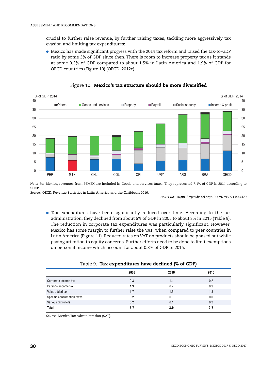crucial to further raise revenue, by further raising taxes, tackling more aggressively tax evasion and limiting tax expenditures:

● Mexico has made significant progress with the 2014 tax reform and raised the tax-to-GDP ratio by some 3% of GDP since then. There is room to increase property tax as it stands at some 0.3% of GDP compared to about 1.5% in Latin America and 1.9% of GDP for OECD countries (Figure 10) (OECD, 2012c).



## Figure 10. **Mexico's tax structure should be more diversified**

*Note:* For Mexico, revenues from PEMEX are included in Goods and services taxes. They represented 7.1% of GDP in 2014 according to SH<sub>C</sub>P

*Source:* OECD, Revenue Statistics in Latin America and the Caribbean 2016.

1 2 *<http://dx.doi.org/10.1787/888933444479>*

● Tax expenditures have been significantly reduced over time. According to the tax administration, they declined from about 6% of GDP in 2005 to about 3% in 2015 (Table 9). The reduction in corporate tax expenditures was particularly significant. However, Mexico has some margin to further raise the VAT, when compared to peer countries in Latin America (Figure 11). Reduced rates on VAT on products should be phased out while paying attention to equity concerns. Further efforts need to be done to limit exemptions on personal income which account for about 0.8% of GDP in 2015.

|                            | 2005 | 2010 | 2015 |
|----------------------------|------|------|------|
| Corporate income tax       | 2.3  | 1.1  | 0.2  |
| Personal income tax        | 1.3  | 0.7  | 0.9  |
| Value added tax            | 1.7  | 1.5  | 1.3  |
| Specific consumption taxes | 0.2  | 0.6  | 0.0  |
| Various tax reliefs        | 0.2  | 0.1  | 0.2  |
| Total                      | 5.7  | 3.9  | 2.7  |

|  | Table 9. Tax expenditures have declined (% of GDP) |  |  |  |
|--|----------------------------------------------------|--|--|--|
|  |                                                    |  |  |  |

*Source:* Mexico Tax Administration (SAT).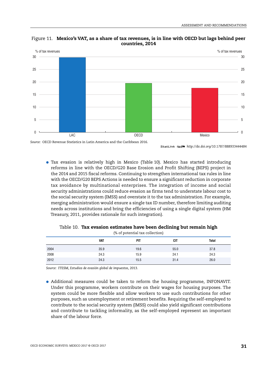

#### Figure 11. **Mexico's VAT, as a share of tax revenues, is in line with OECD but lags behind peer countries, 2014**

*Source:* OECD Revenue Statistics in Latin America and the Caribbean 2016.

● Tax evasion is relatively high in Mexico (Table 10). Mexico has started introducing reforms in line with the OECD/G20 Base Erosion and Profit Shifting (BEPS) project in the 2014 and 2015 fiscal reforms. Continuing to strengthen international tax rules in line with the OECD/G20 BEPS Actions is needed to ensure a significant reduction in corporate tax avoidance by multinational enterprises. The integration of income and social security administrations could reduce evasion as firms tend to understate labour cost to the social security system (IMSS) and overstate it to the tax administration. For example, merging administration would ensure a single tax ID number, therefore limiting auditing needs across institutions and bring the efficiencies of using a single digital system (HM Treasury, 2011, provides rationale for such integration).

|      | VAT  | <b>PIT</b> | CIT  | <b>Total</b> |
|------|------|------------|------|--------------|
| 2004 | 35.9 | 19.6       | 55.0 | 37.8         |
| 2008 | 24.3 | 15.9       | 24.1 | 24.3         |
| 2012 | 24.3 | 15.5       | 31.4 | 26.0         |

#### Table 10. **Tax evasion estimates have been declining but remain high** (% of potential tax collection)

*Source:* ITESM, *Estudios de evasión global de impuestos*, 2013.

● Additional measures could be taken to reform the housing programme, INFONAVIT. Under this programme, workers contribute on their wages for housing purposes. The system could be more flexible and allow workers to use such contributions for other purposes, such as unemployment or retirement benefits. Requiring the self-employed to contribute to the social security system (IMSS) could also yield significant contributions and contribute to tackling informality, as the self-employed represent an important share of the labour force.

<sup>1 2</sup> *<http://dx.doi.org/10.1787/888933444484>*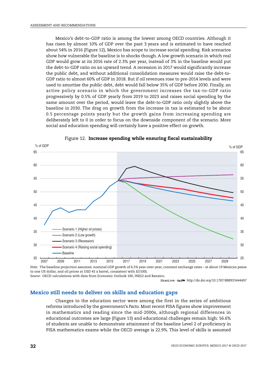Mexico's debt-to-GDP ratio is among the lowest among OECD countries. Although it has risen by almost 10% of GDP over the past 3 years and is estimated to have reached about 54% in 2016 (Figure 12), Mexico has scope to increase social spending. Risk scenarios show how vulnerable the baseline is to shocks though. A low growth scenario in which real GDP would grow at its 2016 rate of 2.3% per year, instead of 3% in the baseline would put the debt-to-GDP ratio on an upward trend. A recession in 2017 would significantly increase the public debt, and without additional consolidation measures would raise the debt-to-GDP ratio to almost 60% of GDP in 2018. But if oil revenues rose to pre-2014 levels and were used to amortise the public debt, debt would fall below 35% of GDP before 2030. Finally, an active policy scenario in which the government increases the tax-to-GDP ratio progressively by 0.5% of GDP yearly from 2019 to 2023 and raises social spending by the same amount over the period, would leave the debt-to-GDP ratio only slightly above the baseline in 2030. The drag on growth from the increase in tax is estimated to be about 0.5 percentage points yearly but the growth gains from increasing spending are deliberately left to 0 in order to focus on the downside component of the scenario. More social and education spending will certainly have a positive effect on growth.



Figure 12. **Increase spending while ensuring fiscal sustainability**

*Note:* The baseline projection assumes: nominal GDP growth of 6.5% year-over-year, constant exchange rates – at about 19 Mexican pesos to one US dollar, and oil prices at USD 45 a barrel, consistent with EO100). *Source:* OECD calculations with data from Economic Outlook 100, INEGI and Banxico.

1 2 *<http://dx.doi.org/10.1787/888933444497>*

## **Mexico still needs to deliver on skills and education gaps**

Changes to the education sector were among the first in the series of ambitious reforms introduced by the government's *Pacto*. Most recent PISA figures show improvement in mathematics and reading since the mid-2000s, although regional differences in educational outcomes are large (Figure 13) and educational challenges remain high: 56.6% of students are unable to demonstrate attainment of the baseline Level 2 of proficiency in PISA mathematics exams while the OECD average is 22.9%. This level of skills is assumed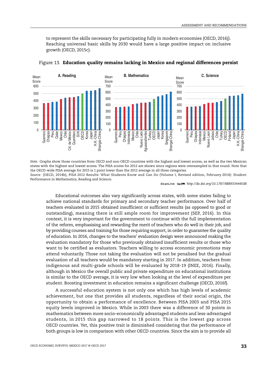to represent the skills necessary for participating fully in modern economies (OECD, 2016j). Reaching universal basic skills by 2030 would have a large positive impact on inclusive growth (OECD, 2015c).



## Figure 13. **Education quality remains lacking in Mexico and regional differences persist**

*Note:* Graphs show those countries from OECD and non-OECD countries with the highest and lowest scores, as well as the two Mexican states with the highest and lowest scores. The PISA scores for 2012 are shown since regions were oversampled in that round. Note that the OECD-wide PISA average for 2015 is 1 point lower than the 2012 average in all three categories. *Source:* (OECD, 2014b), PISA 2012 Results: What Students Know and Can Do (Volume I, Revised edition, February 2014): Student

Performance in Mathematics, Reading and Science.

1 2 *<http://dx.doi.org/10.1787/888933444508>*

Educational outcomes also vary significantly across states, with some states failing to achieve national standards for primary and secondary teacher performance. Over half of teachers evaluated in 2015 obtained insufficient or sufficient results (as opposed to good or outstanding), meaning there is still ample room for improvement (SEP, 2016). In this context, it is very important for the government to continue with the full implementation of the reform, emphasising and rewarding the merit of teachers who do well in their job, and by providing courses and training for those requiring support, in order to guarantee the quality of education. In 2016, changes to the teachers' evaluation design were announced making the evaluation mandatory for those who previously obtained insufficient results or those who want to be certified as evaluators. Teachers willing to access economic promotions may attend voluntarily. Those not taking the evaluation will not be penalised but the gradual evaluation of all teachers would be mandatory starting in 2017. In addition, teachers from indigenous and multi-grade schools will be evaluated by 2018-19 (INEE, 2016). Finally, although in Mexico the overall public and private expenditure on educational institutions is similar to the OECD average, it is very low when looking at the level of expenditure per student. Boosting investment in education remains a significant challenge (OECD, 2016f).

A successful education system is not only one which has high levels of academic achievement, but one that provides all students, regardless of their social origin, the opportunity to obtain a performance of excellence. Between PISA 2003 and PISA 2015 equity levels improved in Mexico. While in 2003 there was a difference of 30 points in mathematics between more socio-economically advantaged students and less-advantaged students, in 2015 this gap narrowed to 18 points. This is the lowest gap across OECD countries. Yet, this positive trait is diminished considering that the performance of both groups is low in comparison with other OECD countries. Since the aim is to provide all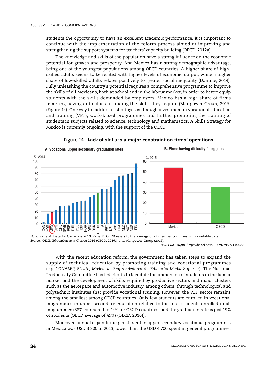students the opportunity to have an excellent academic performance, it is important to continue with the implementation of the reform process aimed at improving and strengthening the support systems for teachers' capacity building (OECD, 2012a).

The knowledge and skills of the population have a strong influence on the economic potential for growth and prosperity. And Mexico has a strong demographic advantage, being one of the youngest populations among OECD countries. A higher share of highskilled adults seems to be related with higher levels of economic output, while a higher share of low-skilled adults relates positively to greater social inequality (Damme, 2014). Fully unleashing the country's potential requires a comprehensive programme to improve the skills of all Mexicans, both at school and in the labour market, in order to better equip students with the skills demanded by employers. Mexico has a high share of firms reporting having difficulties in finding the skills they require (Manpower Group, 2015) (Figure 14). One way to tackle skill shortages is through investment in vocational education and training (VET), work-based programmes and further promoting the training of students in subjects related to science, technology and mathematics. A Skills Strategy for Mexico is currently ongoing, with the support of the OECD.



Figure 14. **Lack of skills is a major constraint on firms' operations**

*Note:* Panel A: Data for Canada is 2013. Panel B: OECD refers to the average of 27 member countries with available data. *Source:* OECD Education at a Glance 2016 (OECD, 2016c) and Manpower Group (2015).

With the recent education reform, the government has taken steps to expand the supply of technical education by promoting training and vocational programmes (e.g. *CONALEP, Bécate, Modelo de Emprendedores* de *Educacón Media Superior*). The National Productivity Committee has led efforts to facilitate the immersion of students in the labour market and the development of skills required by productive sectors and major clusters such as the aerospace and automotive industry, among others, through technological and polytechnic institutes that provide vocational training. However, the VET sector remains among the smallest among OECD countries. Only few students are enrolled in vocational programmes in upper secondary education relative to the total students enrolled in all programmes (38% compared to 44% for OECD countries) and the graduation rate is just 19% of students (OECD average of 49%) (OECD, 2016f).

Moreover, annual expenditure per student in upper secondary vocational programmes in Mexico was USD 3 300 in 2013, lower than the USD 4 700 spent in general programmes.

<sup>1 2</sup> *<http://dx.doi.org/10.1787/888933444515>*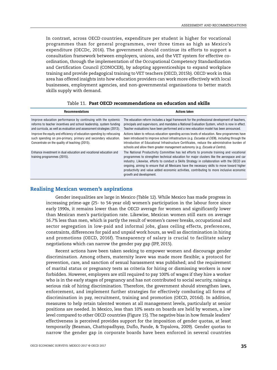In contrast, across OECD countries, expenditure per student is higher for vocational programmes than for general programmes, over three times as high as Mexico's expenditure (OECDc, 2016). The government should continue its efforts to support a consultation framework between employers, unions, and the VET system for effective coordination, through the implementation of the Occupational Competency Standardization and Certification Council (CONOCER), by adopting apprenticeships to expand workplace training and provide pedagogical training to VET teachers (OECD, 2015b). OECD work in this area has offered insights into how education providers can work more effectively with local businesses, employment agencies, and non-governmental organisations to better match skills supply with demand.

|  |  | Table 11. Past OECD recommendations on education and skills |  |  |
|--|--|-------------------------------------------------------------|--|--|
|--|--|-------------------------------------------------------------|--|--|

| <b>Recommendations</b>                                                                                                                                                                                         | <b>Actions taken</b>                                                                                                                                                                                                                                                                                                                                                                                                                                                                                       |
|----------------------------------------------------------------------------------------------------------------------------------------------------------------------------------------------------------------|------------------------------------------------------------------------------------------------------------------------------------------------------------------------------------------------------------------------------------------------------------------------------------------------------------------------------------------------------------------------------------------------------------------------------------------------------------------------------------------------------------|
| Improve education performance by continuing with the systemic<br>reforms to teacher incentives and school leadership, system funding<br>and curricula, as well as evaluation and assessment strategies (2013). | The education reform includes a legal framework for the professional development of teachers,<br>principals and supervisors, and mandates a National Evaluation System, which is now in effect.<br>Teacher evaluations have been performed and a new education model has been announced.                                                                                                                                                                                                                   |
| Improve the equity and efficiency of education spending by refocusing<br>such spending on pre-primary, primary and secondary education.<br>Concentrate on the quality of teaching (2015).                      | Actions taken to refocus education spending across levels of education. New programmes have<br>been introduced to improve school infrastructure (e.g. <i>Escuelas al CIEN</i> ), including through the<br>introduction of Educational Infrastructure Certificates, reduce the administrative burden of<br>schools and allow them greater management autonomy (e.g. Escuela al Centro).                                                                                                                     |
| Enhance investment in dual education and vocational education and<br>training programmes (2015).                                                                                                               | The National Productivity Committee has led efforts to promote training and vocational<br>programmes to strengthen technical education for major clusters like the aerospace and car<br>industry. Likewise, efforts to conduct a Skills Strategy in collaboration with the OECD are<br>ongoing, aiming to ensure that all Mexicans have the necessary skills to move toward higher<br>productivity and value added economic activities, contributing to more inclusive economic<br>growth and development. |

## **Realising Mexican women's aspirations**

Gender inequalities are large in Mexico (Table 12). While Mexico has made progress in increasing prime-age (25- to 54-year old) women's participation in the labour force since early 1990s, it remains lower than the OECD average for women and significantly lower than Mexican men's participation rate. Likewise, Mexican women still earn on average 16.7% less than men, which is partly the result of women's career breaks, occupational and sector segregation in low-paid and informal jobs, glass ceiling effects, preferences, constraints, differences for paid and unpaid work hours, as well as discrimination in hiring and promotions (OECD, 2016f). Transparency of salary is crucial to facilitate salary negotiations which can narrow the gender pay gap (IPP, 2015).

Recent actions have been taken seeking to empower women and discourage gender discrimination. Among others, maternity leave was made more flexible; a protocol for prevention, care, and sanction of sexual harassment was published; and the requirement of marital status or pregnancy tests as criteria for hiring or dismissing workers is now forbidden. However, employers are still required to pay 100% of wages if they hire a worker who is in the early stages of pregnancy and has not contributed to social security, raising a serious risk of hiring discrimination. Therefore, the government should strengthen laws, enforcement, and implement further strategies for effectively combating all forms of discrimination in pay, recruitment, training and promotion (OECD, 2016d). In addition, measures to help retain talented women at all management levels, particularly at senior positions are needed. In Mexico, less than 10% seats on boards are held by women, a low level compared to other OECD countries (Figure 15). The negative bias in how female leaders' effectiveness is perceived provides support for the imposition of gender quotas, at least temporarily (Beaman, Chattopadhyay, Duflo, Pande, & Topalova, 2009). Gender quotas to narrow the gender gap in corporate boards have been enforced in several countries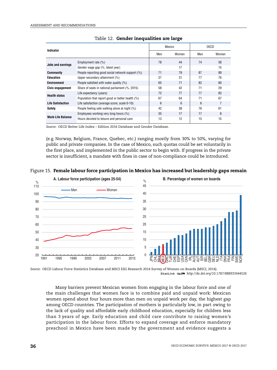| Indicator                |                                                  | Mexico |       | <b>OECD</b> |                |
|--------------------------|--------------------------------------------------|--------|-------|-------------|----------------|
|                          |                                                  | Men    | Women | Men         | Women          |
|                          | Employment rate (%)                              | 78     | 44    | 74          | 58             |
| <b>Jobs and earnings</b> | Gender wage gap (%, latest year)                 |        | 17    |             | 15             |
| Community                | People reporting good social network support (%) | 71     | 79    | 87          | 89             |
| <b>Education</b>         | Upper secondary attainment (%)                   | 37     | 31    | 77          | 76             |
| <b>Environment</b>       | People satisfied with water quality (%)          | 65     | 71    | 82          | 80             |
| Civic engagement         | Share of seats in national parliament (%, 2015)  | 58     | 42    | 71          | 29             |
| <b>Health status</b>     | Life expectancy (years)                          | 72     | 77    | 77          | 83             |
|                          | Population that report good or better health (%) | 67     | 64    | 71          | 67             |
| <b>Life Satisfaction</b> | Life satisfaction (average score, scale 0-10)    | 6      | 6     | 6           | $\overline{7}$ |
| Safety                   | People feeling safe walking alone at night (%)   | 42     | 38    | 76          | 61             |
|                          | Employees working very long hours (%)            | 35     | 17    | 17          | 8              |
| <b>Work-Life Balance</b> | Hours devoted to leisure and personal care       | 13     | 12    | 15          | 15             |

*Source:* OECD Better Life Index – Edition 2016 Database and Gender Database.

(e.g. Norway, Belgium, France, Quebec, etc.) ranging mostly from 30% to 50%, varying for public and private companies. In the case of Mexico, such quotas could be set voluntarily in the first place, and implemented in the public sector to begin with. If progress in the private sector is insufficient, a mandate with fines in case of non-compliance could be introduced.





*Source:* OECD Labour Force Statistics Database and MSCI ESG Research 2014 Survey of Women on Boards (MSCI, 2014). <sub>2</sub><br>StatLink 編』■ <http://dx.doi.org/10.1787/888933444526>

Many barriers prevent Mexican women from engaging in the labour force and one of the main challenges that women face is to combine paid and unpaid work: Mexican women spend about four hours more than men on unpaid work per day, the highest gap among OECD countries. The participation of mothers is particularly low, in part owing to the lack of quality and affordable early childhood education, especially for children less than 3 years of age. Early education and child care contribute to raising women's participation in the labour force. Efforts to expand coverage and enforce mandatory preschool in Mexico have been made by the government and evidence suggests a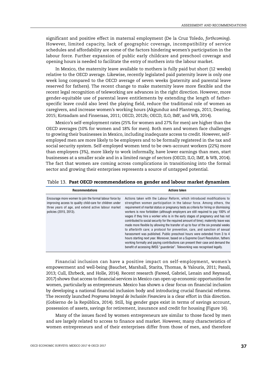significant and positive effect in maternal employment (De la Cruz Toledo, *forthcoming*). However, limited capacity, lack of geographic coverage, incompatibility of service schedules and affordability are some of the factors hindering women's participation in the labour force. Further expansion of public early childcare and preschool coverage and opening hours is needed to facilitate the entry of mothers into the labour market.

In Mexico, the maternity leave available to mothers is fully paid but short (12 weeks) relative to the OECD average. Likewise, recently legislated paid paternity leave is only one week long compared to the OECD average of seven weeks (paternity and parental leave reserved for fathers). The recent change to make maternity leave more flexible and the recent legal recognition of teleworking are advances in the right direction. However, more gender-equitable use of parental leave entitlements by extending the length of fatherspecific leave could also level the playing field, reduce the traditional role of women as caregivers, and increase women's working hours (Akgunduz and Plantenga, 2011; Dearing, 2015; Kotsadam and Finseraas, 2011; OECD, 2012b; OECD, ILO, IMF, and WB, 2014).

Mexico's self-employment rates (25% for women and 27% for men) are higher than the OECD averages (10% for women and 18% for men). Both men and women face challenges to growing their businesses in Mexico, including inadequate access to credit. However, selfemployed men are more likely to be employers and to be formally registered in the tax and social security system. Self-employed women tend to be own-account workers (22%) more than employers (3%), more likely to work informally, have lower earnings than men, start businesses at a smaller scale and in a limited range of sectors (OECD, ILO, IMF, & WB, 2014). The fact that women are coming across complications in transitioning into the formal sector and growing their enterprises represents a source of untapped potential.

| Encourage more women to join the formal labour force by<br>Actions taken with the Labour Reform, which introduced modifications to<br>improving access to quality child-care for children under<br>strengthen women participation in the labour force. Among others, the                                                                                                                                                                                                                                                                                                                                                                                                                                                                                                                                                                                                                                                                               | <b>Actions taken</b> |  |  |
|--------------------------------------------------------------------------------------------------------------------------------------------------------------------------------------------------------------------------------------------------------------------------------------------------------------------------------------------------------------------------------------------------------------------------------------------------------------------------------------------------------------------------------------------------------------------------------------------------------------------------------------------------------------------------------------------------------------------------------------------------------------------------------------------------------------------------------------------------------------------------------------------------------------------------------------------------------|----------------------|--|--|
| three years of age, and extend active labour market<br>requirement of marital status or pregnancy tests as criteria for hiring or dismissing<br>policies (2015, 2013).<br>workers is now forbidden (although employers are still required to pay 100% of<br>wages if they hire a worker who is in the early stages of pregnancy and has not<br>contributed to social security for the required amount of time); maternity leave was<br>made more flexible by allowing the transfer of up to four of the six prenatal weeks<br>to afterbirth care; a protocol for prevention, care, and sanction of sexual<br>harassment was published. Public preschool hours were extended from 3 to 4<br>hours starting next year. Moreover, based on a Supreme Court Resolution, fathers<br>working formally and paying contributions can present their case and demand the<br>benefit of accessing IMSS " <i>quarderías</i> ". Teleworking was recognised legally. |                      |  |  |

Financial inclusion can have a positive impact on self-employment, women's empowerment and well-being (Bauchet, Marshall, Starita, Thomas, & Yalouris, 2011; Pasali, 2013; Cull, Ehrbeck, and Holle, 2014). Recent research (Fareed, Gabriel, Lenain and Reynaud, 2017) shows that access to financial services in Mexico can open up economic opportunities for women, particularly as entrepreneurs. Mexico has shown a clear focus on financial inclusion by developing a national financial inclusion body and introducing crucial financial reforms. The recently launched *Programa Integral de Inclusión Financiera* is a clear effort in this direction. (Gobierno de la República, 2014). Still, big gender gaps exist in terms of savings account, possession of assets, savings for retirement, insurance and credit for housing (Figure 16).

Many of the issues faced by women entrepreneurs are similar to those faced by men and are largely related to access to finance and market. However, many characteristics of women entrepreneurs and of their enterprises differ from those of men, and therefore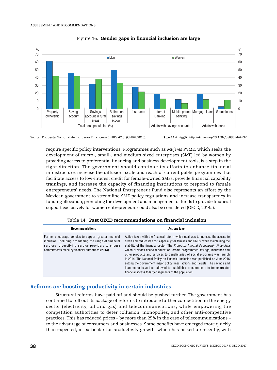

## Figure 16. **Gender gaps in financial inclusion are large**

*Source:* Encuesta Nacional de Inclusión Financiera (ENIF) 2015, (CNBV, 2015). 1 2 *<http://dx.doi.org/10.1787/888933444537>*

require specific policy interventions. Programmes such as *Mujeres PYME,* which seeks the development of micro-, small-, and medium-sized enterprises (SME) led by women by providing access to preferential financing and business development tools, is a step in the right direction. The government should continue its efforts to enhance financial infrastructure, increase the diffusion, scale and reach of current public programmes that facilitate access to low-interest credit for female-owned SMEs, provide financial capability trainings, and increase the capacity of financing institutions to respond to female entrepreneurs' needs. The National Entrepreneur Fund also represents an effort by the Mexican government to streamline SME policy regulations and increase transparency in funding allocation; promoting the development and management of funds to provide financial support exclusively for women entrepreneurs could also be considered (OECD, 2014a).

| <b>Recommendations</b>                                                                                                                                                                                                       | <b>Actions taken</b>                                                                                                                                                                                                                                                                                                                                                                                                                                                                                                                                                                                                                                                                                                                    |  |  |
|------------------------------------------------------------------------------------------------------------------------------------------------------------------------------------------------------------------------------|-----------------------------------------------------------------------------------------------------------------------------------------------------------------------------------------------------------------------------------------------------------------------------------------------------------------------------------------------------------------------------------------------------------------------------------------------------------------------------------------------------------------------------------------------------------------------------------------------------------------------------------------------------------------------------------------------------------------------------------------|--|--|
| Further encourage policies to support greater financial<br>inclusion, including broadening the range of financial<br>services, diversifying service providers to ensure<br>commitments made by financial authorities (2013). | Action taken with the financial reform which goal was to increase the access to<br>credit and reduce its cost, especially for families and SMEs, while maintaining the<br>stability of the financial sector. The Programa Integral de Inclusión Financiera<br>which provides financial education, credit, programmed savings, insurance and<br>other products and services to beneficiaries of social programs was launch<br>in 2014. The National Policy on Financial Inclusion was published on June 2016<br>setting the government major policy lines, actions and targets. The savings and<br>loan sector have been allowed to establish correspondents to foster greater<br>financial access to larger segments of the population. |  |  |

Table 14. **Past OECD recommendations on financial inclusion**

## **Reforms are boosting productivity in certain industries**

Structural reforms have paid off and should be pushed further. The government has continued to roll out its package of reforms to introduce further competition in the energy sector (electricity, oil and gas) and telecommunications, while empowering the competition authorities to deter collusion, monopolies, and other anti-competitive practices. This has reduced prices – by more than 25% in the case of telecommunications – to the advantage of consumers and businesses. Some benefits have emerged more quickly than expected, in particular for productivity growth, which has picked up recently, with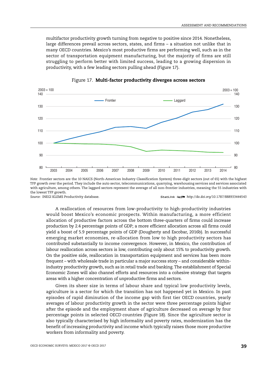multifactor productivity growth turning from negative to positive since 2014. Nonetheless, large differences prevail across sectors, states, and firms – a situation not unlike that in many OECD countries. Mexico's most productive firms are performing well, such as in the sector of transportation equipment manufacturing, but the majority of firms are still struggling to perform better with limited success, leading to a growing dispersion in productivity, with a few leading sectors pulling ahead (Figure 17).



Figure 17. **Multi-factor productivity diverges across sectors**

*Source:* INEGI KLEMS Productivity database. 1 2 *<http://dx.doi.org/10.1787/888933444543>*

A reallocation of resources from low-productivity to high-productivity industries would boost Mexico's economic prospects. Within manufacturing, a more efficient allocation of productive factors across the bottom three-quarters of firms could increase production by 2.4 percentage points of GDP; a more efficient allocation across all firms could yield a boost of 5.9 percentage points of GDP (Dougherty and Escobar, 2016b). In successful emerging market economies, re-allocation from low to high productivity sectors has contributed substantially to income convergence. However, in Mexico, the contribution of labour reallocation across sectors is low, contributing only about 15% to productivity growth. On the positive side, reallocation in transportation equipment and services has been more frequent – with wholesale trade in particular a major success story – and considerable withinindustry productivity growth, such as in retail trade and banking. The establishment of Special Economic Zones will also channel efforts and resources into a cohesive strategy that targets areas with a higher concentration of unproductive firms and sectors.

Given its sheer size in terms of labour share and typical low productivity levels, agriculture is a sector for which the transition has not happened yet in Mexico. In past episodes of rapid diminution of the income gap with first tier OECD countries, yearly averages of labour productivity growth in the sector were three percentage points higher after the episode and the employment share of agriculture decreased on average by four percentage points in selected OECD countries (Figure 18). Since the agriculture sector is also typically characterised by high informality and poverty rates, modernization has the benefit of increasing productivity and income which typically raises those more productive workers from informality and poverty.

*Note:* Frontier sectors are the 10 NAICS (North-American Industry Classification System) three-digit sectors (out of 65) with the highest TFP growth over the period. They include the auto sector, telecommunications, quarrying, warehousing services and services associated with agriculture, among others. The laggard sectors represent the average of all non-frontier industries, meaning the 55 industries with the lowest TFP growth.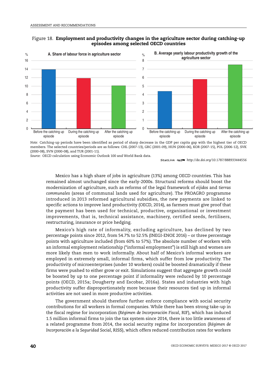



*Note:* Catching-up periods have been identified as period of sharp decrease in the GDP per capita gap with the highest tier of OECD members. The selected countries/periods are as follows: CHL (2007-13), GRC (2001-09), HUN (2000-06), KOR (2007-15), POL (2006-12), SVK (2000-08), SVN (2000-08), and TUR (2001-11).

*Source:* OECD calculation using Economic Outlook 100 and World Bank data.

Mexico has a high share of jobs in agriculture (13%) among OECD countries. This has remained almost unchanged since the early-2000s. Structural reforms should boost the modernization of agriculture, such as reforms of the legal framework of *eijidos* and *tierras communales* (areas of communal lands used for agriculture). The PROAGRO programme introduced in 2013 reformed agricultural subsidies, the new payments are linked to specific actions to improve land productivity (OECD, 2014), as farmers must give proof that the payment has been used for technical, productive, organisational or investment improvements, that is, technical assistance, machinery, certified seeds, fertilisers, restructuring, insurance or price hedging.

Mexico's high rate of informality, excluding agriculture, has declined by two percentage points since 2012, from 54.7% to 52.5% (INEGI-ENOE 2016) – or three percentage points with agriculture included (from 60% to 57%). The absolute number of workers with an informal employment relationship ("informal employment") is still high and women are more likely than men to work informally. About half of Mexico's informal workers are employed in extremely small, informal firms, which suffer from low productivity. The productivity of microenterprises (under 10 workers) could be boosted dramatically if these firms were pushed to either grow or exit. Simulations suggest that aggregate growth could be boosted by up to one percentage point if informality were reduced by 10 percentage points (OECD, 2015a; Dougherty and Escobar, 2016a). States and industries with high productivity suffer disproportionately more because their resources tied up in informal activities are not used in more productive activities.

The government should therefore further enforce compliance with social security contributions for all workers in formal companies. While there has been strong take-up in the fiscal regime for incorporation (*Régimen de Incorporación Fiscal*, RIF), which has induced 1.5 million informal firms to join the tax system since 2014, there is too little awareness of a related programme from 2014, the social security regime for incorporation (*Régimen de Incorporación a la Seguridad Social*, RISS), which offers reduced contribution rates for workers

<sup>1 2</sup> *<http://dx.doi.org/10.1787/888933444556>*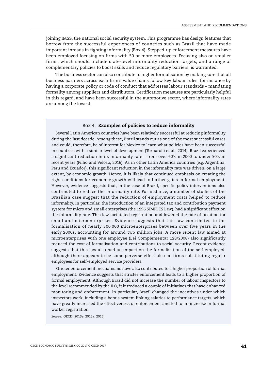joining IMSS, the national social security system. This programme has design features that borrow from the successful experiences of countries such as Brazil that have made important inroads in fighting informality (Box 4). Stepped-up enforcement measures have been employed focusing on firms with 50 or more employees. Focusing also on smaller firms, which should include state-level informality reduction targets, and a range of complementary policies to boost skills and reduce regulatory barriers, is warranted.

The business sector can also contribute to higher formalisation by making sure that all business partners across each firm's value chains follow key labour rules, for instance by having a corporate policy or code of conduct that addresses labour standards – mandating formality among suppliers and distributors. Certification measures are particularly helpful in this regard, and have been successful in the automotive sector, where informality rates are among the lowest.

#### Box 4. **Examples of policies to reduce informality**

Several Latin American countries have been relatively successful at reducing informality during the last decade. Among these, Brazil stands out as one of the most successful cases and could, therefore, be of interest for Mexico to learn what policies have been successful in countries with a similar level of development (Tornarolli et al., 2014). Brazil experienced a significant reduction in its informality rate – from over 60% in 2000 to under 50% in recent years (Filho and Veloso, 2016). As in other Latin America countries (e.g. Argentina, Peru and Ecuador), this significant reduction in the informality rate was driven, on a large extent, by economic growth. Hence, it is likely that continued emphasis on creating the right conditions for economic growth will lead to further gains in formal employment. However, evidence suggests that, in the case of Brazil, specific policy interventions also contributed to reduce the informality rate. For instance, a number of studies of the Brazilian case suggest that the reduction of employment costs helped to reduce informality. In particular, the introduction of an integrated tax and contribution payment system for micro and small enterprises (the 1996 SIMPLES Law), had a significant effect on the informality rate. This law facilitated registration and lowered the rate of taxation for small and microenterprises. Evidence suggests that this law contributed to the formalisation of nearly 500 000 microenterprises between over five years in the early 2000s, accounting for around two million jobs. A more recent law aimed at microenterprises with one employee (Lei Complementar 128/2008) also significantly reduced the cost of formalisation and contributions to social security. Recent evidence suggests that this law also had an impact on the formalisation of the self-employed, although there appears to be some perverse effect also on firms substituting regular employees for self-employed service providers.

Stricter enforcement mechanisms have also contributed to a higher proportion of formal employment. Evidence suggests that stricter enforcement leads to a higher proportion of formal employment. Although Brazil did not increase the number of labour inspectors to the level recommended by the ILO, it introduced a couple of initiatives that have enhanced monitoring and enforcement. In particular, Brazil changed the incentives under which inspectors work, including a bonus system linking salaries to performance targets, which have greatly increased the effectiveness of enforcement and led to an increase in formal worker registration.

*Source:* OECD (2013e, 2015a, 2016).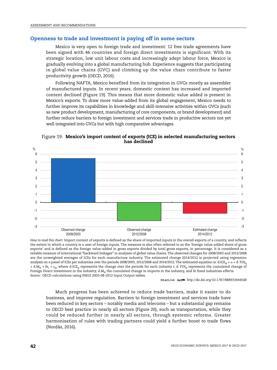## **Openness to trade and investment is paying off in some sectors**

Mexico is very open to foreign trade and investment: 12 free trade agreements have been signed with 46 countries and foreign direct investments is significant. With its strategic location, low unit labour costs and increasingly adept labour force, Mexico is gradually evolving into a global manufacturing hub. Experience suggests that participating in global value chains (GVC) and climbing up the value chain contribute to faster productivity growth (OECD, 2016).

Following NAFTA, Mexico benefited from its integration in GVCs mostly as assembler of manufactured inputs. In recent years, domestic content has increased and imported content declined (Figure 19). This means that more domestic value added is present in Mexico's exports. To draw more value-added from its global engagement, Mexico needs to further improve its capabilities in knowledge and skill-intensive activities within GVCs (such as new product development, manufacturing of core components, or brand development) and further reduce barriers to foreign investment and services trade in productive sectors not yet well integrated into GVCs but with high comparative advantages.



Figure 19. **Mexico's import content of exports (ICE) in selected manufacturing sectors has declined**

*How to read this chart*: Import content of exports is defined as the share of imported inputs in the overall exports of a country, and reflects the extent to which a country is a user of foreign inputs. The measure is also often referred to as the 'foreign value-added share of gross exports' and is defined as the foreign value-added in gross exports divided by total gross exports, in percentage. It is considered as a reliable measure of international "backward linkages" in analyses of global value chains. The observed changes for 2008/2003 and 2012/2008 are the unweighted averages of ICEs for each manufacture industry. The estimated change 2014/2012 is projected using regression analysis on a panel of ICEs per industries over the periods 2008/2003, 2012/2008 and 2014/2012. The estimated equation is: d.ICE<sub>it</sub> =  $\alpha$  + d. FDI<sub>it</sub> + d.M<sub>it</sub> + fe<sub>i</sub> +  $\epsilon_{i_1}$ , where d.ICE<sub>it</sub> represents the change over the periods for each industry i, d. FDI<sub>it</sub> represents the cumulated change of Foreign Direct Investment in the industry,  $d.M_{it}$  the cumulated change in imports in the industry, and fe fixed industries effects. *Source:* OECD calculations using INEGI 2003-08-2012 Input Output tables.

1 2 *<http://dx.doi.org/10.1787/888933444568>*

Much progress has been achieved to reduce trade barriers, make it easier to do business, and improve regulation. Barriers to foreign investment and services trade have been reduced in key sectors – notably media and telecoms – but a substantial gap remains to OECD best practice in nearly all sectors (Figure 20), such as transportation, while they could be reduced further in nearly all sectors, through systemic reforms. Greater harmonisation of rules with trading partners could yield a further boost to trade flows (Nordås, 2016).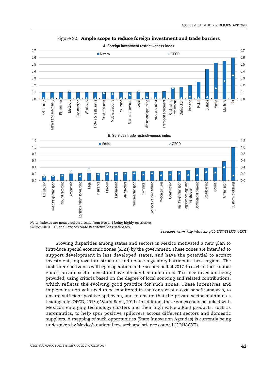



*Note:* Indexes are measured on a scale from 0 to 1, 1 being highly restrictive. *Source:* OECD FDI and Services trade Restrictiveness databases.

#### 1 2 *<http://dx.doi.org/10.1787/888933444578>*

Growing disparities among states and sectors in Mexico motivated a new plan to introduce special economic zones (SEZs) by the government. These zones are intended to support development in less developed states, and have the potential to attract investment, improve infrastructure and reduce regulatory barriers in these regions. The first three such zones will begin operation in the second half of 2017. In each of these initial zones, private sector investors have already been identified. Tax incentives are being provided, using criteria based on the degree of local sourcing and related contributions, which reflects the evolving good practice for such zones. These incentives and implementation will need to be monitored in the context of a cost-benefit analysis, to ensure sufficient positive spillovers, and to ensure that the private sector maintains a leading role (OECD, 2015a; World Bank, 2011). In addition, these zones could be linked with Mexico's emerging technology clusters and their high value added products, such as aeronautics, to help spur positive spillovers across different sectors and domestic suppliers. A mapping of such opportunities (State Innovation Agendas) is currently being undertaken by Mexico's national research and science council (CONACYT).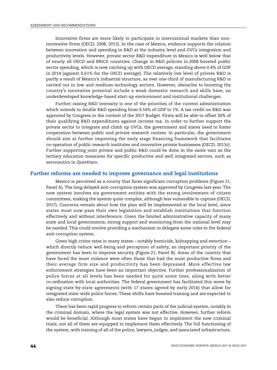Innovative firms are more likely to participate in international markets than noninnovative firms (OECD, 2008, 2015). In the case of Mexico, evidence supports the relation between innovation and spending in R&D at the industry level and GVCs integration and productivity levels. However, private sector R&D expenditure in Mexico is well below that of nearly all OECD and BRICS countries. Change in R&D policies in 2008 boosted public sector spending, which is now catching up with OECD average, standing above 0.4% of GDP in 2014 (against 0.61% for the OECD average). The relatively low level of private R&D is partly a result of Mexico's industrial structure, as over one-third of manufacturing R&D is carried out in low and medium-technology sectors. However, obstacles to boosting the country's innovative potential include a weak domestic research and skills base, an underdeveloped knowledge-based start-up environment and institutional challenges.

Further raising R&D intensity is one of the priorities of the current administration which intends to double R&D spending from 0.54% of GDP to 1%. A tax credit on R&D was approved by Congress in the context of the 2017 Budget. Firms will be able to offset 30% of their qualifying R&D expenditures against income tax. In order to further support the private sector to integrate and climb up GVCs, the government and states need to foster cooperation between public and private research centres. In particular, the government should aim at further improving the early stage financing framework that facilitates co-operation of public research institutes and innovative private businesses (OECD, 2013c). Further supporting joint private and public R&D could be done in the same vain as the tertiary education measures for specific productive and well integrated sectors, such as aeronautics in Querétaro.

## **Further reforms are needed to improve governance and legal institutions**

Mexico is perceived as a county that faces significant corruption problems (Figure 21, Panel A). The long delayed anti-corruption system was approved by Congress last year. The new system involves six government entities with the strong involvement of citizen committees, making the system quite complex, although less vulnerable to capture (OECD, 2017). Concerns remain about how the plan will be implemented at the local level, since states must now pass their own legislation and establish institutions that function effectively and without interference. Given the limited administrative capacity of many state and local governments, strong support and monitoring from the national level may be needed. This could involve providing a mechanism to delegate some roles to the federal anti-corruption system.

Given high crime rates in many states – notably homicide, kidnapping and extortion – which directly reduce well-being and perception of safety, an important priority of the government has been to improve security (Figure 21, Panel B). Areas of the country that have faced the most violence were often those that had the most productive firms and their average firm size and productivity has been depressed. More effective law enforcement strategies have been an important objective. Further professionalisation of police forces at all levels has been needed for quite some time, along with better co-ordination with local authorities. The federal government has facilitated this move by signing state-by-state agreements (with 17 states agreed by early 2016) that allow for integrated state-wide police forces. These shifts have boosted training and are expected to also reduce corruption.

There has been rapid progress to reform certain parts of the judicial system, notably in the criminal domain, where the legal system was not effective. However, further reform would be beneficial. Although most states have begun to implement the new criminal trials, not all of them are equipped to implement them effectively. The full functioning of the system, with training of all of the police, lawyers, judges, and associated infrastructure,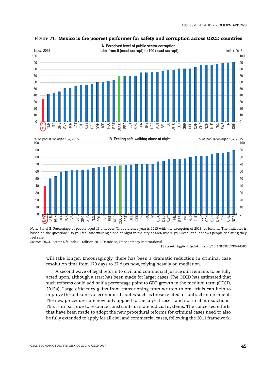

#### Figure 21. **Mexico is the poorest performer for safety and corruption across OECD countries**

*Note:* Panel B: Percentage of people aged 15 and over. The reference year is 2015 with the exception of 2013 for Iceland. The indicator is based on the question: "Do you feel safe walking alone at night in the city or area where you live?" and it shows people declaring they feel safe.

*Source:* OECD Better Life Index – Edition 2016 Database, Transparency International.

1 2 *<http://dx.doi.org/10.1787/888933444583>*

will take longer. Encouragingly, there has been a dramatic reduction in criminal case resolution time from 170 days to 27 days now, relying heavily on mediation.

A second wave of legal reform to civil and commercial justice still remains to be fully acted upon, although a start has been made for larger cases. The OECD has estimated that such reforms could add half a percentage point to GDP growth in the medium term (OECD, 2015a). Large efficiency gains from transitioning from written to oral trials can help to improve the outcomes of economic disputes such as those related to contract enforcement. The new procedures are now only applied to the largest cases, and not in all jurisdictions. This is in part due to resource constraints in state judicial systems. The concerted efforts that have been made to adopt the new procedural reforms for criminal cases need to also be fully extended to apply for all civil and commercial cases, following the 2011 framework.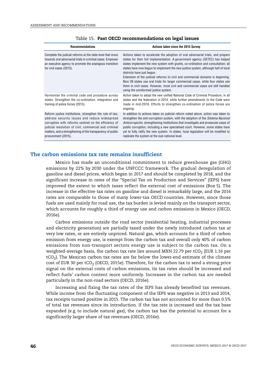| <b>Recommendations</b>                                                                                                                                                                                                                                                                                          | <b>Actions taken since the 2015 Survey</b>                                                                                                                                                                                                                                                                                                                                                                                                                                                                                                                                                                                                                                |
|-----------------------------------------------------------------------------------------------------------------------------------------------------------------------------------------------------------------------------------------------------------------------------------------------------------------|---------------------------------------------------------------------------------------------------------------------------------------------------------------------------------------------------------------------------------------------------------------------------------------------------------------------------------------------------------------------------------------------------------------------------------------------------------------------------------------------------------------------------------------------------------------------------------------------------------------------------------------------------------------------------|
| Complete the judicial reforms at the state level that move<br>towards oral adversarial trials in criminal cases. Empower<br>an executive agency to promote the analogous transition<br>for civil cases (2013).                                                                                                  | Actions taken to accelerate the adoption of oral adversarial trials, and prepare<br>states for their full implementation. A government agency (SETEC) has helped<br>states implement the new system with grants, co-ordination and consultation; all<br>states have now begun to implement the new justice system, although half of local<br>districts have just begun.<br>Extension of the judicial reforms to civil and commercial domains is beginning.<br>Now 26 states use oral trials for larger commercial cases, while four states use<br>them in civil cases. However, most civil and commercial cases are still handled<br>using the unreformed justice system. |
| Harmonise the criminal code and procedure across<br>states. Strengthen the co-ordination, integration and<br>training of police forces (2013).                                                                                                                                                                  | Action taken to adopt the new unified National Code of Criminal Procedure, in all<br>states and the federation in 2014, while further amendments to the Code were<br>made in mid-2016. Efforts to strengthen co-ordination of police forces are<br>ongoing.                                                                                                                                                                                                                                                                                                                                                                                                               |
| Reform justice institutions, strengthen the rule of law,<br>address security issues and reduce widespread<br>corruption with reforms centred on the efficiency of<br>judicial resolution of civil, commercial and criminal<br>matters, and a strengthening of the transparency of public<br>procurement (2015). | In addition to actions taken on judicial reform noted above, action was taken to<br>strengthen the anti-corruption system, with the adoption of the <i>Sistema Nacional</i><br>Anticorrupción, strengthening institutions that investigate and prosecute cases of<br>public corruption, including a new specialised court. However, some states have<br>yet to fully ratify the new system. In states, local legislation will be modified to<br>replicate the system at the sub-national level.                                                                                                                                                                           |

| Table 15. Past OECD recommendations on legal issues |  |  |  |  |
|-----------------------------------------------------|--|--|--|--|
|-----------------------------------------------------|--|--|--|--|

## **The carbon emissions tax rate remains insufficient**

Mexico has made an unconditional commitment to reduce greenhouse gas (GHG) emissions by 22% by 2030 under the UNFCCC framework. The gradual deregulation of gasoline and diesel prices, which began in 2017 and should be completed by 2018, and the significant increase in rates of the "Special Tax on Production and Services" (IEPS) have improved the extent to which taxes reflect the external cost of emissions (Box 5). The increase in the effective tax rates on gasoline and diesel is remarkably large, and the 2016 rates are comparable to those of many lower-tax OECD countries. However, since those fuels are used mainly for road use, the tax burden is levied mainly on the transport sector, which accounts for roughly a third of energy use and carbon emissions in Mexico (OECD, 2016e).

Carbon emissions outside the road sector (residential heating, industrial processes and electricity generation) are partially taxed under the newly introduced carbon tax at very low rates, or are entirely unpriced. Natural gas, which accounts for a third of carbon emission from energy use, is exempt from the carbon tax and overall only 40% of carbon emissions from non-transport sectors energy use is subject to the carbon tax. On a weighted-average basis, the carbon tax rate lies around MXN 22.79 per tCO<sub>2</sub> (EUR 1.16 per  $tCO<sub>2</sub>$ ). The Mexican carbon tax rates are far below the lower-end estimate of the climate cost of EUR 30 per  $tCO<sub>2</sub>$  (OECD, 2015e). Therefore, for the carbon tax to send a strong price signal on the external costs of carbon emissions, its tax rates should be increased and reflect fuels' carbon content more uniformly. Increases in the carbon tax are needed particularly in the non-road sectors (OECD, 2016e).

Increasing and fixing the tax rates of the IEPS has already benefited tax revenues. While income from the fluctuating component of the IEPS was negative in 2013 and 2014, tax receipts turned positive in 2015. The carbon tax has not accounted for more than 0.5% of total tax revenues since its introduction. If the tax rate is increased and the tax base expanded (e.g. to include natural gas), the carbon tax has the potential to account for a significantly larger share of tax revenues (OECD, 2016e).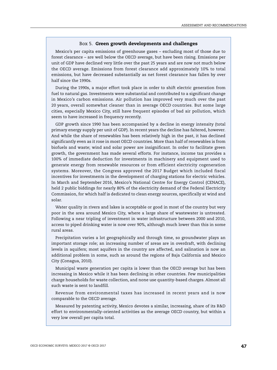### Box 5. **Green growth developments and challenges**

Mexico's per capita emissions of greenhouse gases – excluding most of those due to forest clearance – are well below the OECD average, but have been rising. Emissions per unit of GDP have declined very little over the past 25 years and are now not much below the OECD average. Emissions from forest clearance add approximately 10% to total emissions, but have decreased substantially as net forest clearance has fallen by over half since the 1990s.

During the 1990s, a major effort took place in order to shift electric generation from fuel to natural gas. Investments were substantial and contributed to a significant change in Mexico's carbon emissions. Air pollution has improved very much over the past 20 years, overall somewhat cleaner than in average OECD countries. But some large cities, especially Mexico City, still have frequent episodes of bad air pollution, which seem to have increased in frequency recently.

GDP growth since 1990 has been accompanied by a decline in energy intensity (total primary energy supply per unit of GDP). In recent years the decline has faltered, however. And while the share of renewables has been relatively high in the past, it has declined significantly even as it rose in most OECD countries. More than half of renewables is from biofuels and waste; wind and solar power are insignificant. In order to facilitate green growth, the government has made several efforts. For instance, income tax provides a 100% of immediate deduction for investments in machinery and equipment used to generate energy from renewable resources or from efficient electricity cogeneration systems. Moreover, the Congress approved the 2017 Budget which included fiscal incentives for investments in the development of charging stations for electric vehicles. In March and September 2016, Mexico's National Centre for Energy Control (CENACE), held 2 public biddings for nearly 80% of the electricity demand of the Federal Electricity Commission, for which half is dedicated to clean energy sources, specifically at wind and solar.

Water quality in rivers and lakes is acceptable or good in most of the country but very poor in the area around Mexico City, where a large share of wastewater is untreated. Following a near tripling of investment in water infrastructure between 2000 and 2010, access to piped drinking water is now over 90%, although much lower than this in some rural areas.

Precipitation varies a lot geographically and through time, so groundwater plays an important storage role; an increasing number of areas are in overdraft, with declining levels in aquifers; most aquifers in the country are affected, and salination is now an additional problem in some, such as around the regions of Baja California and Mexico City (Conagua, 2010).

Municipal waste generation per capita is lower than the OECD average but has been increasing in Mexico while it has been declining in other countries. Few municipalities charge households for waste collection, and none use quantity-based charges. Almost all such waste is sent to landfill.

Revenue from environmental taxes has increased in recent years and is now comparable to the OECD average.

Measured by patenting activity, Mexico devotes a similar, increasing, share of its R&D effort to environmentally-oriented activities as the average OECD country, but within a very low overall per capita total.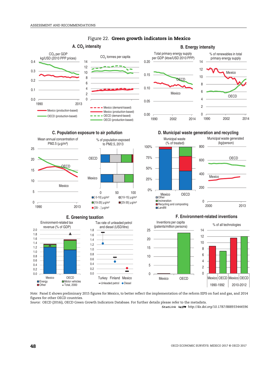

Figure 22. **Green growth indicators in Mexico**

*Note:* Panel E shows preliminary 2015 figures for Mexico, to better reflect the implementation of the reform IEPS on fuel and gas, and 2014 figures for other OECD countries.

*Source:* [OECD \(2016i\), OECD Green Growth Indicators Database. For further details please refer to the metadata.](file://main.oecd.org/sdataECO/Units/COMMON_CSB/CSB%20Green%20growth/GG%20Indicators%20in%20OECD%20Economic%20Surveys%20-%20Metadata.pdf)

1 2 *<http://dx.doi.org/10.1787/888933444596>*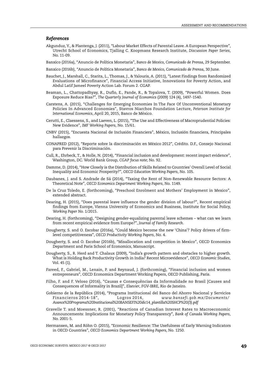#### *References*

Akgunduz, Y., & Plantenga, J. (2011), "Labour Market Effects of Parental Leave. A European Perspective", Utrecht School of Economics, Tjalling C. Koopmans Research Institute, *Discussion Paper Series*, No. 11-09.

Banxico (2016a), "Anuncio de Política Monetaria", *Banco de Mexico, Comunicado de Prensa*, 29 September.

Banxico (2016b), "Anuncio de Política Monetaria", *Banco de Mexico, Comunicado de Prensa*, 30 June.

- Bauchet, J., Marshall, C., Starita, L., Thomas, J., & Yalouris, A. (2011), "Latest Findings from Randomized Evaluations of Microfinance", Financial Access Initiative, Innovations for Poverty Action, and Abdul Latif Jameel Poverty Action Lab. Forum 2. CGAP.
- Beaman, L., Chattopadhyay, R., Duflo, E., Pande, R., & Topalova, T. (2009), "Powerful Women. Does Exposure Reduce Bias?", *The Quarterly Journal of Economics* (2009) 124 (4), 1497-1540.
- Carstens, A. (2015), "Challenges for Emerging Economies In The Face Of Unconventional Monetary Policies In Advanced Economies", Stavros Niarchos Foundation Lecture, *Peterson Institute for International Economics*, April 20, 2015, Banco de México.
- Cerutti, E., Claessens, S., and Laeven, L. (2015), "The Use and Effectiveness of Macroprudential Policies: New Evidence", *IMF Working Papers*, No. 15/61.
- CNBV (2015), "Encuesta Nacional de Inclusión Financiera", México, Inclusión financiera, Principales hallazgos.
- CONAPRED (2012), "Reporte sobre la discriminación en México 2012", Crédito. D.F., Consejo Nacional para Prevenir la Discriminación.
- Cull, R., Ehrbeck, T., & Holle, N. (2014), "Financial inclusion and development: recent impact evidence", Washington, DC. World Bank Group, *CGAP focus note*; No. 92.
- Damme, D. (2014), "How Closely is the Distribution of Skills Related to Countries' Overall Level of Social Inequality and Economic Prosperity?", *OECD Education Working Papers*, No. 105.
- Daubanes, J. and S. Andrade de Sá (2014), "Taxing the Rent of Non-Renewable Resource Sectors: A Theoretical Note", *OECD Economics Department Working Papers*, No. 1149.
- De la Cruz Toledo, E. (forthcoming), "Preschool Enrolment and Mothers' Employment in Mexico", extended abstract.
- Dearing, H. (2015), "Does parental leave influence the gender division of labour?", Recent empirical findings from Europe, Vienna University of Economics and Business, Institute for Social Policy, *Working Paper No. 1/2015*.
- Dearing, H. (forthcoming), "Designing gender-equalizing parental leave schemes what can we learn from recent empirical evidence from Europe?", *Journal of Family Research*.
- Dougherty, S. and O. Escobar (2016a), "Could Mexico become the new 'China'? Policy drivers of firmlevel competitiveness", *OECD Productivity Working Papers*, No. 4.
- Dougherty, S. and O. Escobar (2016b), "Misallocation and competition in Mexico", OECD Economics Department and Paris School of Economics, Manuscript.
- Dougherty, S., R. Herd and T. Chalaux (2009), "India's growth pattern and obstacles to higher growth. What is Holding Back Productivity Growth in India? Recent Microevidence", *OECD Economic Studies*, Vol. 45 (1).
- Fareed, F., Gabriel, M., Lenain, P. and Reynaud, J. (forthcoming), "Financial inclusion and women entrepreneurs", OECD Economics Department Working Papers, OECD Publishing, Paris.
- Filho, F. and F. Veloso (2016), "Causas e Consequências da Informalidade no Brasil [Causes and Consequences of Informality in Brazil]", *Elsevier*, FGV-IBRE, Rio de Janeiro.
- Gobierno de la República (2014), "Programa Institucional del Banco del Ahorro Nacional y Servicios Logros 2014, *www.bansefi.gob.mx/Documents/ [Avance%20Programa%20Institucional%20BANSEFI%20dic14\\_plantilla%20SHCP%20\(3\).pdf](http://www.bansefi.gob.mx/Documents/Avance%20Programa%20Institucional%20BANSEFI%20dic14_plantilla%20SHCP%20%283%29.pdf)*
- Gravelle T. and Moessner, R. (2001), "Reactions of Canadian Interest Rates to Macroeconomic Announcements: Implications for Monetary Policy Transparency", *Bank of Canada Working Papers*, No. 2001-5.
- Hermansen, M. and Röhn O. (2015), "Economic Resilience: The Usefulness of Early Warning Indicators in OECD Countries", *OECD Economics Department Working Papers*, No. 1250.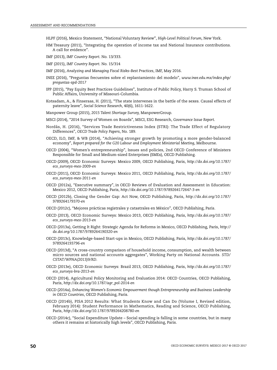- HLPF (2016), Mexico Statement, "National Voluntary Review", *High-Level Political Forum*, New York.
- HM Treasury (2011), "Integrating the operation of income tax and National Insurance contributions. A call for evidence".
- IMF (2013), *IMF Country Report*. No. 13/333.
- IMF (2015), *IMF Country Report*. No. 15/314
- IMF (2016), *Analyzing and Managing Fiscal Risks–Best Practices*, IMF, May 2016.
- INEE (2016), "Preguntas frecuentes sobre el replantamiento del modelo", *[www.inee.edu.mx/index.php/](http://www.inee.edu.mx/index.php/preguntas-spd-2017) [preguntas-spd-2017](http://www.inee.edu.mx/index.php/preguntas-spd-2017)*
- IPP (2015), "Pay Equity Best Practices Guidelines", Institute of Public Policy, Harry S. Truman School of Public Affairs, University of Missouri-Columbia.
- Kotsadam, A., & Finseraas, H. (2011), "The state intervenes in the battle of the sexes. Causal effects of paternity leave", *Social Science Research*, 40(6), 1611-1622.
- Manpower Group (2015), *2015 Talent Shortage Survey,* ManpowerGroup.
- MSCI (2014), "2014 Survey of Women on Boards", MSCI, ESG Research, *Governance Issue Report*.
- Nordås, H. (2016), "Services Trade Restrictiveness Index (STRI): The Trade Effect of Regulatory Differences", *OECD Trade Policy Papers*, No. 189.
- OECD, ILO, IMF, & WB (2014), "Achieving stronger growth by promoting a more gender-balanced economy", *Report prepared for the G20 Labour and Employment Ministerial Meeting,* Melbourne.
- OECD (2004), "Women's entrepreneurship", Issues and policies, 2nd OECD Conference of Ministers Responsible for Small and Medium-sized Enterprises (SMEs), OECD Publishing.
- OECD (2009), OECD Economic Surveys: Mexico 2009, OECD Publishing, Paris, *[http://dx.doi.org/10.1787/](http://dx.doi.org/10.1787/eco_surveys-mex-2009-en) [eco\\_surveys-mex-2009-en](http://dx.doi.org/10.1787/eco_surveys-mex-2009-en)*
- OECD (2011), OECD Economic Surveys: Mexico 2011, OECD Publishing, Paris, *[http://dx.doi.org/10.1787/](http://dx.doi.org/10.1787/eco_surveys-mex-2011-en) [eco\\_surveys-mex-2011-en](http://dx.doi.org/10.1787/eco_surveys-mex-2011-en)*
- OECD (2012a), "Executive summary", in OECD Reviews of Evaluation and Assessment in Education: Mexico 2012, OECD Publishing, Paris, *<http://dx.doi.org/10.1787/9789264172647-3-en>*
- OECD (2012b), Closing the Gender Gap: Act Now, OECD Publishing, Paris, *[http://dx.doi.org/10.1787/](http://dx.doi.org/10.1787/9789264179370-en) [9789264179370-en](http://dx.doi.org/10.1787/9789264179370-en)*
- OECD (2012c), "Mejores prácticas registrales y catastrales en México", OECD Publishing, Paris.
- OECD (2013), OECD Economic Surveys: Mexico 2013, OECD Publishing, Paris, *[http://dx.doi.org/10.1787/](http://dx.doi.org/10.1787/eco_surveys-mex-2013-en) [eco\\_surveys-mex-2013-en](http://dx.doi.org/10.1787/eco_surveys-mex-2013-en)*
- OECD (2013a), Getting It Right: Strategic Agenda for Reforms in Mexico, OECD Publishing, Paris, *[http://](http://dx.doi.org/10.1787/9789264190320-en) [dx.doi.org/10.1787/9789264190320-en](http://dx.doi.org/10.1787/9789264190320-en)*
- OECD (2013c), Knowledge-based Start-ups in Mexico, OECD Publishing, Paris, *[http://dx.doi.org/10.1787/](http://dx.doi.org/10.1787/9789264193796-en) [9789264193796-en](http://dx.doi.org/10.1787/9789264193796-en)*
- OECD (2013d), "A cross-country comparison of household income, consumption, and wealth between micro sources and national accounts aggregates", Working Party on National Accounts. *[STD/](http://www2.oecd.org/oecdinfo/info.aspx?app=OLIScoteEN&Ref=STD/CSTAT/WPNA(2013)9/RD) [CSTAT/WPNA\(2013\)9/RD](http://www2.oecd.org/oecdinfo/info.aspx?app=OLIScoteEN&Ref=STD/CSTAT/WPNA(2013)9/RD)*.
- OECD (2013e), OECD Economic Surveys: Brazil 2013, OECD Publishing, Paris, *[http://dx.doi.org/10.1787/](http://dx.doi.org/10.1787/eco_surveys-bra-2013-en) [eco\\_surveys-bra-2013-en](http://dx.doi.org/10.1787/eco_surveys-bra-2013-en)*
- OECD (2014), Agricultural Policy Monitoring and Evaluation 2014: OECD Countries, OECD Publishing, Paris, *[http://dx.doi.org/10.1787/agr\\_pol-2014-en](http://dx.doi.org/10.1787/agr_pol-2014-en)*
- OECD (2014a), *Enhancing Women's Economic Empowerment though Entrepreneurship and Business Leadership in OECD Countries*, OECD Publishing, Paris.
- OECD (2014b), PISA 2012 Results: What Students Know and Can Do (Volume I, Revised edition, February 2014): Student Performance in Mathematics, Reading and Science, OECD Publishing, Paris, *<http://dx.doi.org/10.1787/9789264208780-en>*
- OECD (2014c), "Social Expenditure Update Social spending is falling in some countries, but in many others it remains at historically high levels", OECD Publishing, Paris.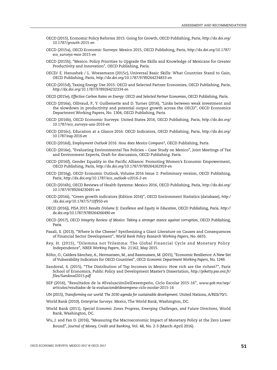- OECD (2015), Economic Policy Reforms 2015: Going for Growth, OECD Publishing, Paris, *[http://dx.doi.org/](http://dx.doi.org/10.1787/growth-2015-en) [10.1787/growth-2015-en](http://dx.doi.org/10.1787/growth-2015-en)*
- OECD (2015a), OECD Economic Surveys: Mexico 2015, OECD Publishing, Paris, *[http://dx.doi.org/10.1787/](http://dx.doi.org/10.1787/eco_surveys-mex-2015-en) [eco\\_surveys-mex-2015-en](http://dx.doi.org/10.1787/eco_surveys-mex-2015-en)*
- OECD (2015b), "Mexico. Policy Priorities to Upgrade the Skills and Knowledge of Mexicans for Greater Productivity and Innovation", OECD Publishing, Paris.
- OECD/ E. Hanushek / L. Woessmann (2015c), Universal Basic Skills: What Countries Stand to Gain, OECD Publishing, Paris, *<http://dx.doi.org/10.1787/9789264234833-en>*
- OECD (2015d), Taxing Energy Use 2015: OECD and Selected Partner Economies, OECD Publishing, Paris, *<http://dx.doi.org/10.1787/9789264232334-en>*
- OECD (2015e), *Effective Carbon Rates on Energy: OECD and Selected Partner Economies*, OECD Publishing, Paris.
- OECD (2016a), Ollivaud, P., Y. Guillemette and D. Turner (2016), "Links between weak investment and the slowdown in productivity and potential output growth across the OECD", OECD Economics Department Working Papers, No. 1304, OECD Publishing, Paris.
- OECD (2016b), OECD Economic Surveys: United States 2016, OECD Publishing, Paris, *[http://dx.doi.org/](http://dx.doi.org/10.1787/eco_surveys-usa-2016-en) [10.1787/eco\\_surveys-usa-2016-en](http://dx.doi.org/10.1787/eco_surveys-usa-2016-en)*
- OECD (2016c), Education at a Glance 2016: OECD Indicators, OECD Publishing, Paris, *[http://dx.doi.org/](http://dx.doi.org/10.1787/eag-2016-en) [10.1787/eag-2016-en](http://dx.doi.org/10.1787/eag-2016-en)*
- OECD (2016d), *Employment Outlook 2016. How does Mexico Compare?*, OECD Publishing, Paris.
- OECD (2016e), "Evaluating Environmental Tax Policies Case Study on Mexico", Joint Meetings of Tax and Environment Experts, Draft for discussion, OECD Publishing. Paris.
- OECD (2016f), Gender Equality in the Pacific Alliance: Promoting Women's Economic Empowerment, OECD Publishing, Paris, *<http://dx.doi.org/10.1787/9789264262959-en>*
- OECD (2016g), OECD Economic Outlook, Volume 2016 Issue 2: Preliminary version, OECD Publishing, Paris, *[http://dx.doi.org/10.1787/eco\\_outlook-v2016-2-en](http://dx.doi.org/10.1787/eco_outlook-v2016-2-en)*
- OECD (2016h), OECD Reviews of Health Systems: Mexico 2016, OECD Publishing, Paris, *[http://dx.doi.org/](http://dx.doi.org/10.1787/9789264230491-en) [10.1787/9789264230491-en](http://dx.doi.org/10.1787/9789264230491-en)*
- OECD (2016i), "Green growth indicators (Edition 2016)", OECD Environment Statistics (database), *[http:/](http://dx.doi.org/10.1787/5710f950-en) [/dx.doi.org/10.1787/5710f950-en](http://dx.doi.org/10.1787/5710f950-en)*
- OECD (2016j), *PISA 2015 Results (Volume I): Excellence and Equity in Education*, OECD Publishing, Paris, *[http://](http://dx.doi.org/10.1787/9789264266490-en) [dx.doi.org/10.1787/9789264266490-en](http://dx.doi.org/10.1787/9789264266490-en)*
- OECD (2017), *OECD Integrity Review of Mexico: Taking a stronger stance against corruption*, OECD Publishing, Paris.
- Pasali, S. (2013), "Where Is the Cheese? Synthesizing a Giant Literature on Causes and Consequences of Financial Sector Development", *World Bank Policy Research Working Papers*, No. 6655.
- Rey, H. (2015), "Dilemma not Trilemma: The Global Financial Cycle and Monetary Policy Independence", *NBER Working Papers*, No. 21162, May 2015.
- Röhn, O., Caldera Sánchez, A., Hermansen, M., and Rasmussen, M. (2015), "Economic Resilience: A New Set of Vulnerability Indicators for OECD Countries", *OECD Economic Department Working Papers*, No. 1249.
- Sandoval, S. (2015), "The Distribution of Top Incomes in Mexico: How rich are the richest?", Paris School of Economics, Public Policy and Development Master's Dissertation, *[http://piketty.pse.ens.fr/](http://piketty.pse.ens.fr/files/Sandoval2015.pdf) [files/Sandoval2015.pdf](http://piketty.pse.ens.fr/files/Sandoval2015.pdf)*
- SEP (2016), "Resultados de la #EvaluaciónDelDesempeño, Ciclo Escolar 2015-16", *[www.gob.mx/sep/](http://www.gob.mx/sep/articulos/resultados-de-la-evaluaciondeldesempeno-ciclo-escolar-2015-2016) [articulos/resultados-de-la-evaluaciondeldesempeno-ciclo-escolar-2015-16](http://www.gob.mx/sep/articulos/resultados-de-la-evaluaciondeldesempeno-ciclo-escolar-2015-2016)*
- UN (2015), *Transforming our world: The 2030 agenda for sustainable development*. United Nations, A/RES/70/1.
- World Bank (2010), *Enterprise Surveys: Mexico*, The World Bank, Washington, DC.
- World Bank (2011), *Special Economic Zones Progress, Emerging Challenges, and Future Directions*, World Bank, Washington, DC.
- Wu, J. and Fan D. (2016), "Measuring the Macroeconomic Impact of Monetary Policy at the Zero Lower Bound", *Journal of Money, Credit and Banking*, Vol. 48, No. 2-3 (March-April 2016).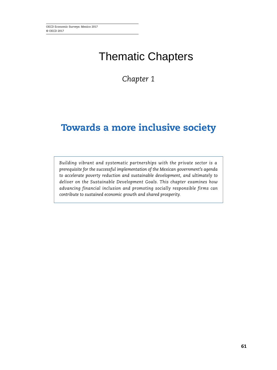# Thematic Chapters

*Chapter 1*

## **Towards a more inclusive society**

*Building vibrant and systematic partnerships with the private sector is a prerequisite for the successful implementation of the Mexican government's agenda to accelerate poverty reduction and sustainable development, and ultimately to deliver on the Sustainable Development Goals. This chapter examines how advancing financial inclusion and promoting socially responsible firms can contribute to sustained economic growth and shared prosperity.*